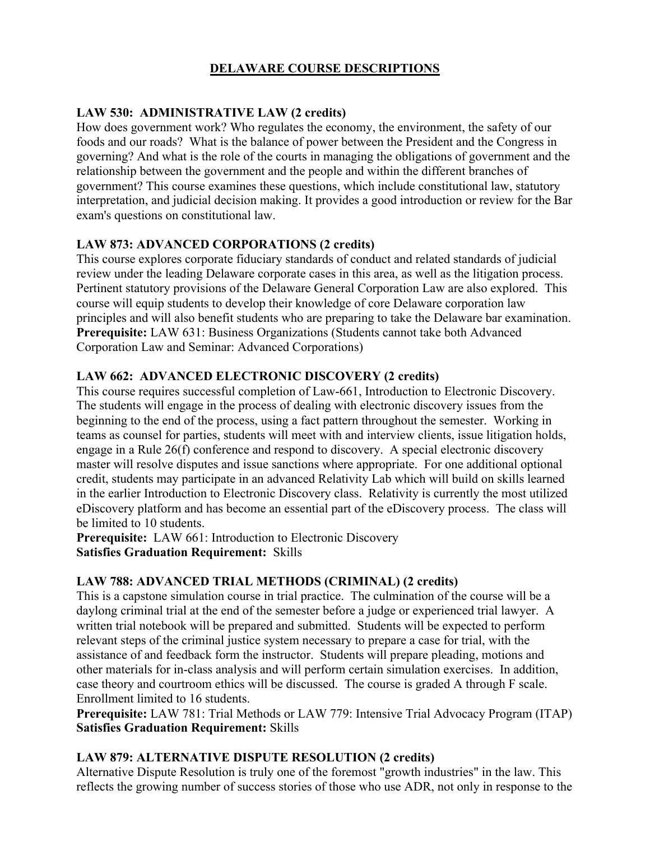# **DELAWARE COURSE DESCRIPTIONS**

# **LAW 530: ADMINISTRATIVE LAW (2 credits)**

How does government work? Who regulates the economy, the environment, the safety of our foods and our roads? What is the balance of power between the President and the Congress in governing? And what is the role of the courts in managing the obligations of government and the relationship between the government and the people and within the different branches of government? This course examines these questions, which include constitutional law, statutory interpretation, and judicial decision making. It provides a good introduction or review for the Bar exam's questions on constitutional law.

# **LAW 873: ADVANCED CORPORATIONS (2 credits)**

This course explores corporate fiduciary standards of conduct and related standards of judicial review under the leading Delaware corporate cases in this area, as well as the litigation process. Pertinent statutory provisions of the Delaware General Corporation Law are also explored. This course will equip students to develop their knowledge of core Delaware corporation law principles and will also benefit students who are preparing to take the Delaware bar examination. **Prerequisite:** LAW 631: Business Organizations (Students cannot take both Advanced Corporation Law and Seminar: Advanced Corporations)

# **LAW 662: ADVANCED ELECTRONIC DISCOVERY (2 credits)**

This course requires successful completion of Law-661, Introduction to Electronic Discovery. The students will engage in the process of dealing with electronic discovery issues from the beginning to the end of the process, using a fact pattern throughout the semester. Working in teams as counsel for parties, students will meet with and interview clients, issue litigation holds, engage in a Rule 26(f) conference and respond to discovery. A special electronic discovery master will resolve disputes and issue sanctions where appropriate. For one additional optional credit, students may participate in an advanced Relativity Lab which will build on skills learned in the earlier Introduction to Electronic Discovery class. Relativity is currently the most utilized eDiscovery platform and has become an essential part of the eDiscovery process. The class will be limited to 10 students.

Prerequisite: LAW 661: Introduction to Electronic Discovery **Satisfies Graduation Requirement:** Skills

# **LAW 788: ADVANCED TRIAL METHODS (CRIMINAL) (2 credits)**

This is a capstone simulation course in trial practice. The culmination of the course will be a daylong criminal trial at the end of the semester before a judge or experienced trial lawyer. A written trial notebook will be prepared and submitted. Students will be expected to perform relevant steps of the criminal justice system necessary to prepare a case for trial, with the assistance of and feedback form the instructor. Students will prepare pleading, motions and other materials for in-class analysis and will perform certain simulation exercises. In addition, case theory and courtroom ethics will be discussed. The course is graded A through F scale. Enrollment limited to 16 students.

**Prerequisite:** LAW 781: Trial Methods or LAW 779: Intensive Trial Advocacy Program (ITAP) **Satisfies Graduation Requirement:** Skills

# **LAW 879: ALTERNATIVE DISPUTE RESOLUTION (2 credits)**

Alternative Dispute Resolution is truly one of the foremost "growth industries" in the law. This reflects the growing number of success stories of those who use ADR, not only in response to the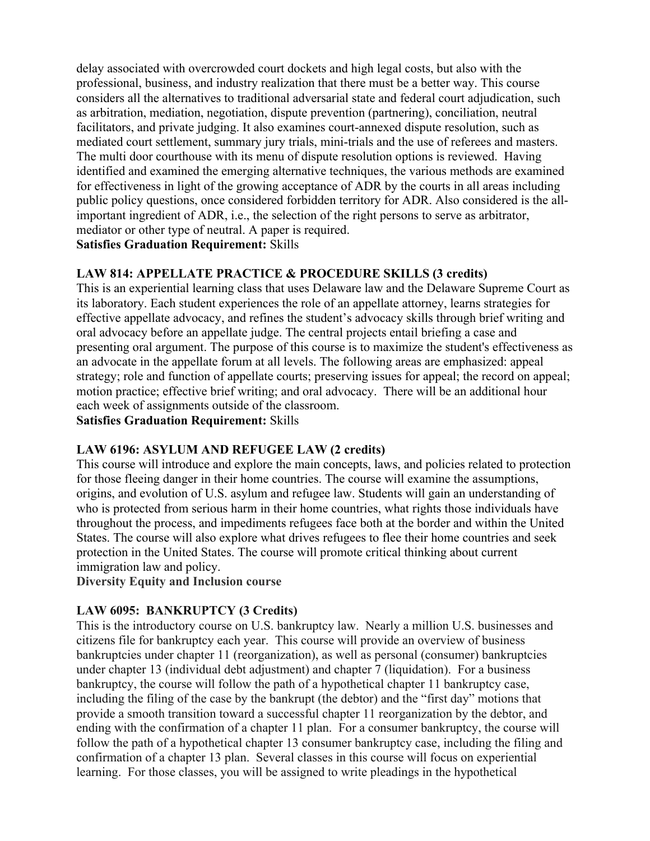delay associated with overcrowded court dockets and high legal costs, but also with the professional, business, and industry realization that there must be a better way. This course considers all the alternatives to traditional adversarial state and federal court adjudication, such as arbitration, mediation, negotiation, dispute prevention (partnering), conciliation, neutral facilitators, and private judging. It also examines court-annexed dispute resolution, such as mediated court settlement, summary jury trials, mini-trials and the use of referees and masters. The multi door courthouse with its menu of dispute resolution options is reviewed. Having identified and examined the emerging alternative techniques, the various methods are examined for effectiveness in light of the growing acceptance of ADR by the courts in all areas including public policy questions, once considered forbidden territory for ADR. Also considered is the allimportant ingredient of ADR, i.e., the selection of the right persons to serve as arbitrator, mediator or other type of neutral. A paper is required.

#### **Satisfies Graduation Requirement:** Skills

#### **LAW 814: APPELLATE PRACTICE & PROCEDURE SKILLS (3 credits)**

This is an experiential learning class that uses Delaware law and the Delaware Supreme Court as its laboratory. Each student experiences the role of an appellate attorney, learns strategies for effective appellate advocacy, and refines the student's advocacy skills through brief writing and oral advocacy before an appellate judge. The central projects entail briefing a case and presenting oral argument. The purpose of this course is to maximize the student's effectiveness as an advocate in the appellate forum at all levels. The following areas are emphasized: appeal strategy; role and function of appellate courts; preserving issues for appeal; the record on appeal; motion practice; effective brief writing; and oral advocacy. There will be an additional hour each week of assignments outside of the classroom. **Satisfies Graduation Requirement:** Skills

# **LAW 6196: ASYLUM AND REFUGEE LAW (2 credits)**

This course will introduce and explore the main concepts, laws, and policies related to protection for those fleeing danger in their home countries. The course will examine the assumptions, origins, and evolution of U.S. asylum and refugee law. Students will gain an understanding of who is protected from serious harm in their home countries, what rights those individuals have throughout the process, and impediments refugees face both at the border and within the United States. The course will also explore what drives refugees to flee their home countries and seek protection in the United States. The course will promote critical thinking about current immigration law and policy.

**Diversity Equity and Inclusion course**

# **LAW 6095: BANKRUPTCY (3 Credits)**

This is the introductory course on U.S. bankruptcy law. Nearly a million U.S. businesses and citizens file for bankruptcy each year. This course will provide an overview of business bankruptcies under chapter 11 (reorganization), as well as personal (consumer) bankruptcies under chapter 13 (individual debt adjustment) and chapter 7 (liquidation). For a business bankruptcy, the course will follow the path of a hypothetical chapter 11 bankruptcy case, including the filing of the case by the bankrupt (the debtor) and the "first day" motions that provide a smooth transition toward a successful chapter 11 reorganization by the debtor, and ending with the confirmation of a chapter 11 plan. For a consumer bankruptcy, the course will follow the path of a hypothetical chapter 13 consumer bankruptcy case, including the filing and confirmation of a chapter 13 plan. Several classes in this course will focus on experiential learning. For those classes, you will be assigned to write pleadings in the hypothetical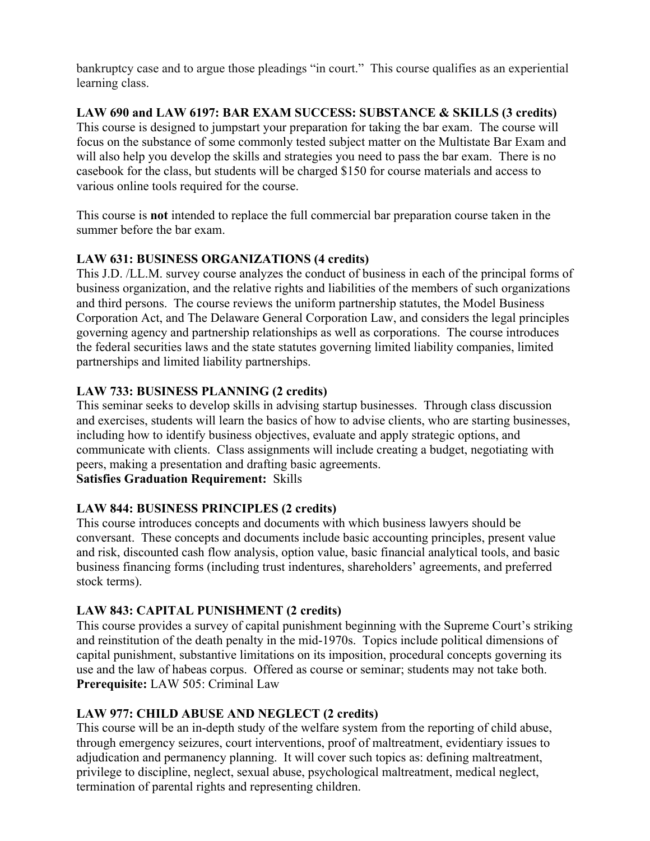bankruptcy case and to argue those pleadings "in court." This course qualifies as an experiential learning class.

**LAW 690 and LAW 6197: BAR EXAM SUCCESS: SUBSTANCE & SKILLS (3 credits)** This course is designed to jumpstart your preparation for taking the bar exam. The course will focus on the substance of some commonly tested subject matter on the Multistate Bar Exam and will also help you develop the skills and strategies you need to pass the bar exam. There is no casebook for the class, but students will be charged \$150 for course materials and access to various online tools required for the course.

This course is **not** intended to replace the full commercial bar preparation course taken in the summer before the bar exam.

# **LAW 631: BUSINESS ORGANIZATIONS (4 credits)**

This J.D. /LL.M. survey course analyzes the conduct of business in each of the principal forms of business organization, and the relative rights and liabilities of the members of such organizations and third persons. The course reviews the uniform partnership statutes, the Model Business Corporation Act, and The Delaware General Corporation Law, and considers the legal principles governing agency and partnership relationships as well as corporations. The course introduces the federal securities laws and the state statutes governing limited liability companies, limited partnerships and limited liability partnerships.

# **LAW 733: BUSINESS PLANNING (2 credits)**

This seminar seeks to develop skills in advising startup businesses. Through class discussion and exercises, students will learn the basics of how to advise clients, who are starting businesses, including how to identify business objectives, evaluate and apply strategic options, and communicate with clients. Class assignments will include creating a budget, negotiating with peers, making a presentation and drafting basic agreements.

# **Satisfies Graduation Requirement:** Skills

# **LAW 844: BUSINESS PRINCIPLES (2 credits)**

This course introduces concepts and documents with which business lawyers should be conversant. These concepts and documents include basic accounting principles, present value and risk, discounted cash flow analysis, option value, basic financial analytical tools, and basic business financing forms (including trust indentures, shareholders' agreements, and preferred stock terms).

# **LAW 843: CAPITAL PUNISHMENT (2 credits)**

This course provides a survey of capital punishment beginning with the Supreme Court's striking and reinstitution of the death penalty in the mid-1970s. Topics include political dimensions of capital punishment, substantive limitations on its imposition, procedural concepts governing its use and the law of habeas corpus. Offered as course or seminar; students may not take both. **Prerequisite:** LAW 505: Criminal Law

# **LAW 977: CHILD ABUSE AND NEGLECT (2 credits)**

This course will be an in-depth study of the welfare system from the reporting of child abuse, through emergency seizures, court interventions, proof of maltreatment, evidentiary issues to adjudication and permanency planning. It will cover such topics as: defining maltreatment, privilege to discipline, neglect, sexual abuse, psychological maltreatment, medical neglect, termination of parental rights and representing children.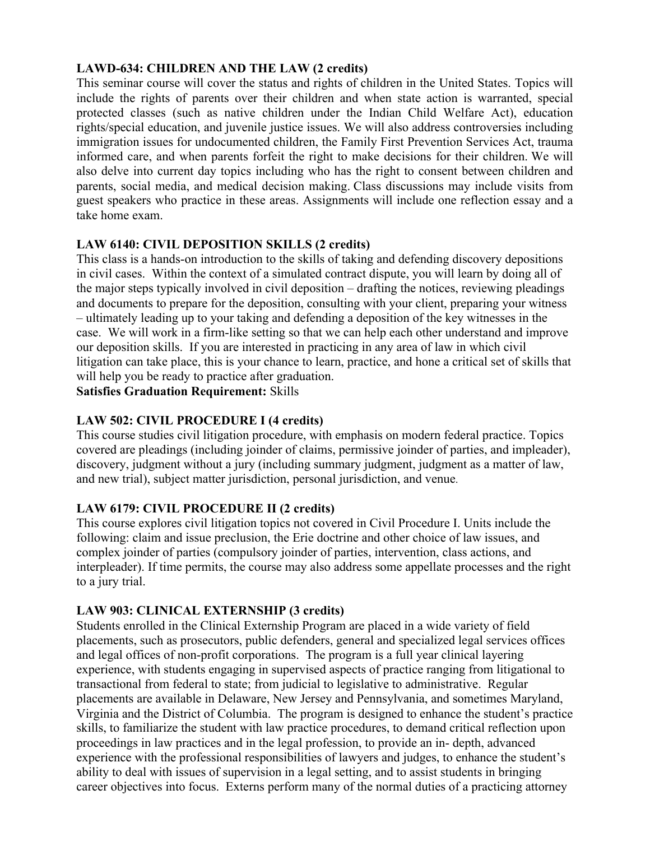# **LAWD-634: CHILDREN AND THE LAW (2 credits)**

This seminar course will cover the status and rights of children in the United States. Topics will include the rights of parents over their children and when state action is warranted, special protected classes (such as native children under the Indian Child Welfare Act), education rights/special education, and juvenile justice issues. We will also address controversies including immigration issues for undocumented children, the Family First Prevention Services Act, trauma informed care, and when parents forfeit the right to make decisions for their children. We will also delve into current day topics including who has the right to consent between children and parents, social media, and medical decision making. Class discussions may include visits from guest speakers who practice in these areas. Assignments will include one reflection essay and a take home exam.

# **LAW 6140: CIVIL DEPOSITION SKILLS (2 credits)**

This class is a hands-on introduction to the skills of taking and defending discovery depositions in civil cases. Within the context of a simulated contract dispute, you will learn by doing all of the major steps typically involved in civil deposition – drafting the notices, reviewing pleadings and documents to prepare for the deposition, consulting with your client, preparing your witness – ultimately leading up to your taking and defending a deposition of the key witnesses in the case. We will work in a firm-like setting so that we can help each other understand and improve our deposition skills. If you are interested in practicing in any area of law in which civil litigation can take place, this is your chance to learn, practice, and hone a critical set of skills that will help you be ready to practice after graduation.

**Satisfies Graduation Requirement:** Skills

# **LAW 502: CIVIL PROCEDURE I (4 credits)**

This course studies civil litigation procedure, with emphasis on modern federal practice. Topics covered are pleadings (including joinder of claims, permissive joinder of parties, and impleader), discovery, judgment without a jury (including summary judgment, judgment as a matter of law, and new trial), subject matter jurisdiction, personal jurisdiction, and venue.

# **LAW 6179: CIVIL PROCEDURE II (2 credits)**

This course explores civil litigation topics not covered in Civil Procedure I. Units include the following: claim and issue preclusion, the Erie doctrine and other choice of law issues, and complex joinder of parties (compulsory joinder of parties, intervention, class actions, and interpleader). If time permits, the course may also address some appellate processes and the right to a jury trial.

# **LAW 903: CLINICAL EXTERNSHIP (3 credits)**

Students enrolled in the Clinical Externship Program are placed in a wide variety of field placements, such as prosecutors, public defenders, general and specialized legal services offices and legal offices of non-profit corporations. The program is a full year clinical layering experience, with students engaging in supervised aspects of practice ranging from litigational to transactional from federal to state; from judicial to legislative to administrative. Regular placements are available in Delaware, New Jersey and Pennsylvania, and sometimes Maryland, Virginia and the District of Columbia. The program is designed to enhance the student's practice skills, to familiarize the student with law practice procedures, to demand critical reflection upon proceedings in law practices and in the legal profession, to provide an in- depth, advanced experience with the professional responsibilities of lawyers and judges, to enhance the student's ability to deal with issues of supervision in a legal setting, and to assist students in bringing career objectives into focus. Externs perform many of the normal duties of a practicing attorney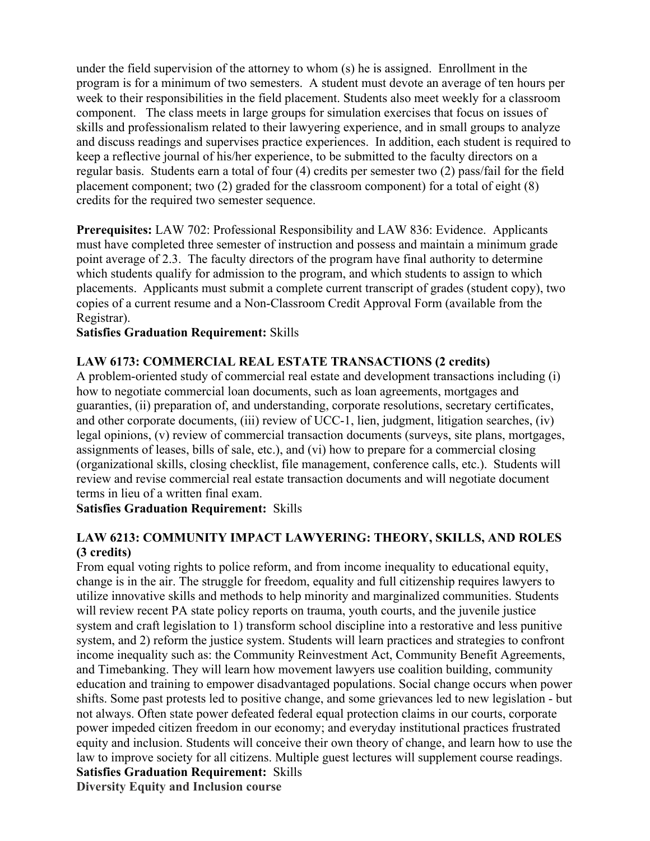under the field supervision of the attorney to whom (s) he is assigned. Enrollment in the program is for a minimum of two semesters. A student must devote an average of ten hours per week to their responsibilities in the field placement. Students also meet weekly for a classroom component. The class meets in large groups for simulation exercises that focus on issues of skills and professionalism related to their lawyering experience, and in small groups to analyze and discuss readings and supervises practice experiences. In addition, each student is required to keep a reflective journal of his/her experience, to be submitted to the faculty directors on a regular basis. Students earn a total of four (4) credits per semester two (2) pass/fail for the field placement component; two (2) graded for the classroom component) for a total of eight (8) credits for the required two semester sequence.

**Prerequisites:** LAW 702: Professional Responsibility and LAW 836: Evidence. Applicants must have completed three semester of instruction and possess and maintain a minimum grade point average of 2.3. The faculty directors of the program have final authority to determine which students qualify for admission to the program, and which students to assign to which placements. Applicants must submit a complete current transcript of grades (student copy), two copies of a current resume and a Non-Classroom Credit Approval Form (available from the Registrar).

**Satisfies Graduation Requirement:** Skills

# **LAW 6173: COMMERCIAL REAL ESTATE TRANSACTIONS (2 credits)**

A problem-oriented study of commercial real estate and development transactions including (i) how to negotiate commercial loan documents, such as loan agreements, mortgages and guaranties, (ii) preparation of, and understanding, corporate resolutions, secretary certificates, and other corporate documents, (iii) review of UCC-1, lien, judgment, litigation searches, (iv) legal opinions, (v) review of commercial transaction documents (surveys, site plans, mortgages, assignments of leases, bills of sale, etc.), and (vi) how to prepare for a commercial closing (organizational skills, closing checklist, file management, conference calls, etc.). Students will review and revise commercial real estate transaction documents and will negotiate document terms in lieu of a written final exam.

#### **Satisfies Graduation Requirement:** Skills

# **LAW 6213: COMMUNITY IMPACT LAWYERING: THEORY, SKILLS, AND ROLES (3 credits)**

From equal voting rights to police reform, and from income inequality to educational equity, change is in the air. The struggle for freedom, equality and full citizenship requires lawyers to utilize innovative skills and methods to help minority and marginalized communities. Students will review recent PA state policy reports on trauma, youth courts, and the juvenile justice system and craft legislation to 1) transform school discipline into a restorative and less punitive system, and 2) reform the justice system. Students will learn practices and strategies to confront income inequality such as: the Community Reinvestment Act, Community Benefit Agreements, and Timebanking. They will learn how movement lawyers use coalition building, community education and training to empower disadvantaged populations. Social change occurs when power shifts. Some past protests led to positive change, and some grievances led to new legislation - but not always. Often state power defeated federal equal protection claims in our courts, corporate power impeded citizen freedom in our economy; and everyday institutional practices frustrated equity and inclusion. Students will conceive their own theory of change, and learn how to use the law to improve society for all citizens. Multiple guest lectures will supplement course readings. **Satisfies Graduation Requirement:** Skills **Diversity Equity and Inclusion course**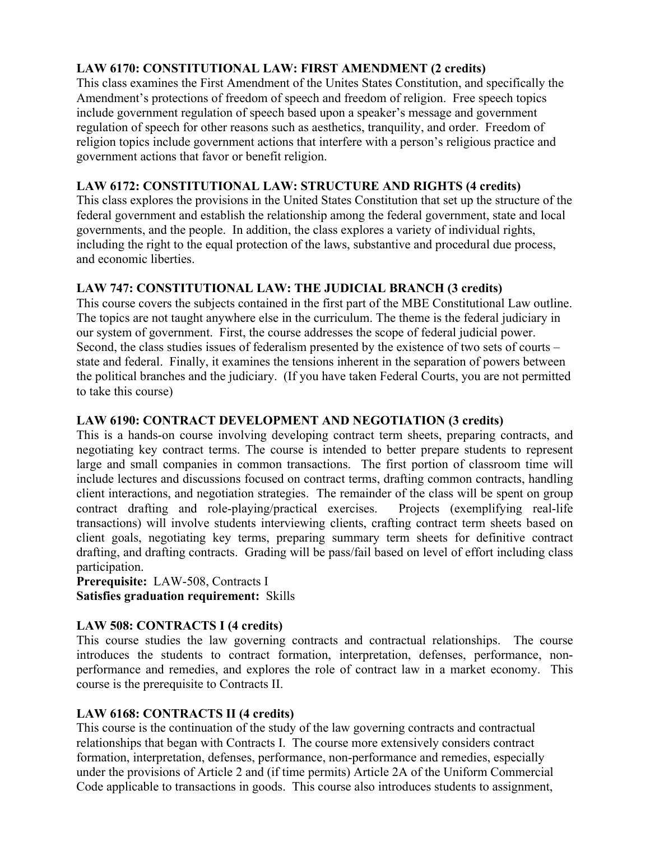# **LAW 6170: CONSTITUTIONAL LAW: FIRST AMENDMENT (2 credits)**

This class examines the First Amendment of the Unites States Constitution, and specifically the Amendment's protections of freedom of speech and freedom of religion. Free speech topics include government regulation of speech based upon a speaker's message and government regulation of speech for other reasons such as aesthetics, tranquility, and order. Freedom of religion topics include government actions that interfere with a person's religious practice and government actions that favor or benefit religion.

# **LAW 6172: CONSTITUTIONAL LAW: STRUCTURE AND RIGHTS (4 credits)**

This class explores the provisions in the United States Constitution that set up the structure of the federal government and establish the relationship among the federal government, state and local governments, and the people. In addition, the class explores a variety of individual rights, including the right to the equal protection of the laws, substantive and procedural due process, and economic liberties.

# **LAW 747: CONSTITUTIONAL LAW: THE JUDICIAL BRANCH (3 credits)**

This course covers the subjects contained in the first part of the MBE Constitutional Law outline. The topics are not taught anywhere else in the curriculum. The theme is the federal judiciary in our system of government. First, the course addresses the scope of federal judicial power. Second, the class studies issues of federalism presented by the existence of two sets of courts – state and federal. Finally, it examines the tensions inherent in the separation of powers between the political branches and the judiciary. (If you have taken Federal Courts, you are not permitted to take this course)

# **LAW 6190: CONTRACT DEVELOPMENT AND NEGOTIATION (3 credits)**

This is a hands-on course involving developing contract term sheets, preparing contracts, and negotiating key contract terms. The course is intended to better prepare students to represent large and small companies in common transactions. The first portion of classroom time will include lectures and discussions focused on contract terms, drafting common contracts, handling client interactions, and negotiation strategies. The remainder of the class will be spent on group contract drafting and role-playing/practical exercises. Projects (exemplifying real-life transactions) will involve students interviewing clients, crafting contract term sheets based on client goals, negotiating key terms, preparing summary term sheets for definitive contract drafting, and drafting contracts. Grading will be pass/fail based on level of effort including class participation.

**Prerequisite:** LAW-508, Contracts I **Satisfies graduation requirement:** Skills

# **LAW 508: CONTRACTS I (4 credits)**

This course studies the law governing contracts and contractual relationships. The course introduces the students to contract formation, interpretation, defenses, performance, nonperformance and remedies, and explores the role of contract law in a market economy. This course is the prerequisite to Contracts II.

# **LAW 6168: CONTRACTS II (4 credits)**

This course is the continuation of the study of the law governing contracts and contractual relationships that began with Contracts I. The course more extensively considers contract formation, interpretation, defenses, performance, non-performance and remedies, especially under the provisions of Article 2 and (if time permits) Article 2A of the Uniform Commercial Code applicable to transactions in goods. This course also introduces students to assignment,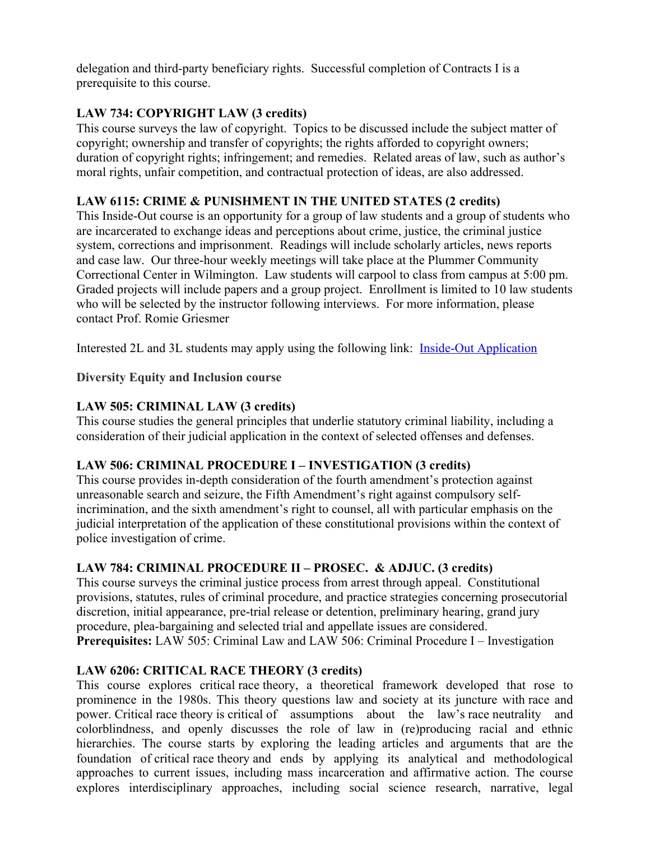delegation and third-party beneficiary rights. Successful completion of Contracts I is a prerequisite to this course.

# **LAW 734: COPYRIGHT LAW (3 credits)**

This course surveys the law of copyright. Topics to be discussed include the subject matter of copyright; ownership and transfer of copyrights; the rights afforded to copyright owners; duration of copyright rights; infringement; and remedies. Related areas of law, such as author's moral rights, unfair competition, and contractual protection of ideas, are also addressed.

# **LAW 6115: CRIME & PUNISHMENT IN THE UNITED STATES (2 credits)**

This Inside-Out course is an opportunity for a group of law students and a group of students who are incarcerated to exchange ideas and perceptions about crime, justice, the criminal justice system, corrections and imprisonment. Readings will include scholarly articles, news reports and case law. Our three-hour weekly meetings will take place at the Plummer Community Correctional Center in Wilmington. Law students will carpool to class from campus at 5:00 pm. Graded projects will include papers and a group project. Enrollment is limited to 10 law students who will be selected by the instructor following interviews. For more information, please contact Prof. Romie Griesmer

Interested 2L and 3L students may apply using the following link: Inside-Out Application

# **Diversity Equity and Inclusion course**

# **LAW 505: CRIMINAL LAW (3 credits)**

This course studies the general principles that underlie statutory criminal liability, including a consideration of their judicial application in the context of selected offenses and defenses.

# **LAW 506: CRIMINAL PROCEDURE I – INVESTIGATION (3 credits)**

This course provides in-depth consideration of the fourth amendment's protection against unreasonable search and seizure, the Fifth Amendment's right against compulsory selfincrimination, and the sixth amendment's right to counsel, all with particular emphasis on the judicial interpretation of the application of these constitutional provisions within the context of police investigation of crime.

# **LAW 784: CRIMINAL PROCEDURE II – PROSEC. & ADJUC. (3 credits)**

This course surveys the criminal justice process from arrest through appeal. Constitutional provisions, statutes, rules of criminal procedure, and practice strategies concerning prosecutorial discretion, initial appearance, pre-trial release or detention, preliminary hearing, grand jury procedure, plea-bargaining and selected trial and appellate issues are considered. **Prerequisites:** LAW 505: Criminal Law and LAW 506: Criminal Procedure I – Investigation

# **LAW 6206: CRITICAL RACE THEORY (3 credits)**

This course explores critical race theory, a theoretical framework developed that rose to prominence in the 1980s. This theory questions law and society at its juncture with race and power. Critical race theory is critical of assumptions about the law's race neutrality and colorblindness, and openly discusses the role of law in (re)producing racial and ethnic hierarchies. The course starts by exploring the leading articles and arguments that are the foundation of critical race theory and ends by applying its analytical and methodological approaches to current issues, including mass incarceration and affirmative action. The course explores interdisciplinary approaches, including social science research, narrative, legal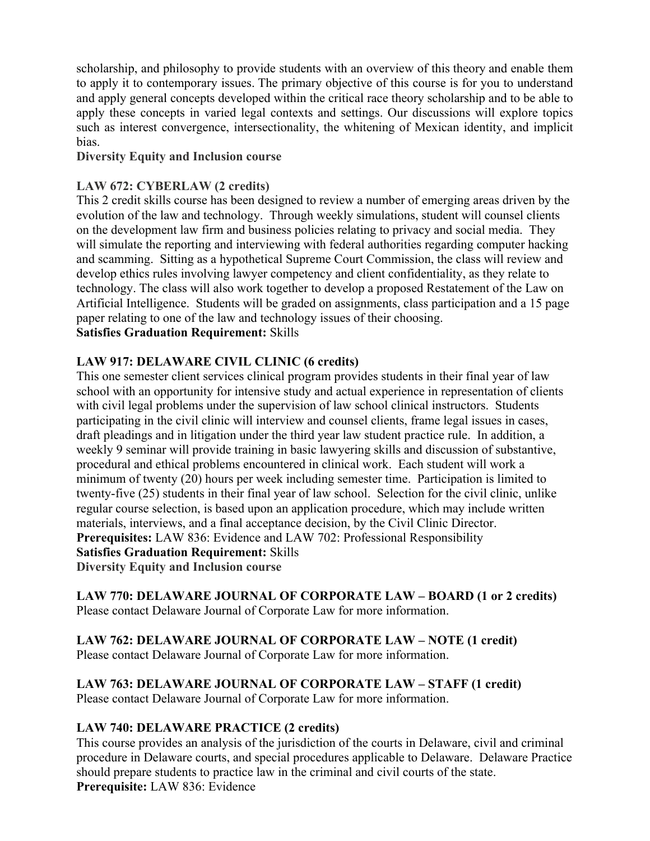scholarship, and philosophy to provide students with an overview of this theory and enable them to apply it to contemporary issues. The primary objective of this course is for you to understand and apply general concepts developed within the critical race theory scholarship and to be able to apply these concepts in varied legal contexts and settings. Our discussions will explore topics such as interest convergence, intersectionality, the whitening of Mexican identity, and implicit bias.

#### **Diversity Equity and Inclusion course**

# **LAW 672: CYBERLAW (2 credits)**

This 2 credit skills course has been designed to review a number of emerging areas driven by the evolution of the law and technology. Through weekly simulations, student will counsel clients on the development law firm and business policies relating to privacy and social media. They will simulate the reporting and interviewing with federal authorities regarding computer hacking and scamming. Sitting as a hypothetical Supreme Court Commission, the class will review and develop ethics rules involving lawyer competency and client confidentiality, as they relate to technology. The class will also work together to develop a proposed Restatement of the Law on Artificial Intelligence. Students will be graded on assignments, class participation and a 15 page paper relating to one of the law and technology issues of their choosing. **Satisfies Graduation Requirement:** Skills

# **LAW 917: DELAWARE CIVIL CLINIC (6 credits)**

This one semester client services clinical program provides students in their final year of law school with an opportunity for intensive study and actual experience in representation of clients with civil legal problems under the supervision of law school clinical instructors. Students participating in the civil clinic will interview and counsel clients, frame legal issues in cases, draft pleadings and in litigation under the third year law student practice rule. In addition, a weekly 9 seminar will provide training in basic lawyering skills and discussion of substantive, procedural and ethical problems encountered in clinical work. Each student will work a minimum of twenty (20) hours per week including semester time. Participation is limited to twenty-five (25) students in their final year of law school. Selection for the civil clinic, unlike regular course selection, is based upon an application procedure, which may include written materials, interviews, and a final acceptance decision, by the Civil Clinic Director. **Prerequisites:** LAW 836: Evidence and LAW 702: Professional Responsibility **Satisfies Graduation Requirement:** Skills **Diversity Equity and Inclusion course**

**LAW 770: DELAWARE JOURNAL OF CORPORATE LAW – BOARD (1 or 2 credits)** Please contact Delaware Journal of Corporate Law for more information.

# **LAW 762: DELAWARE JOURNAL OF CORPORATE LAW – NOTE (1 credit)**

Please contact Delaware Journal of Corporate Law for more information.

# **LAW 763: DELAWARE JOURNAL OF CORPORATE LAW – STAFF (1 credit)**

Please contact Delaware Journal of Corporate Law for more information.

# **LAW 740: DELAWARE PRACTICE (2 credits)**

This course provides an analysis of the jurisdiction of the courts in Delaware, civil and criminal procedure in Delaware courts, and special procedures applicable to Delaware. Delaware Practice should prepare students to practice law in the criminal and civil courts of the state. **Prerequisite:** LAW 836: Evidence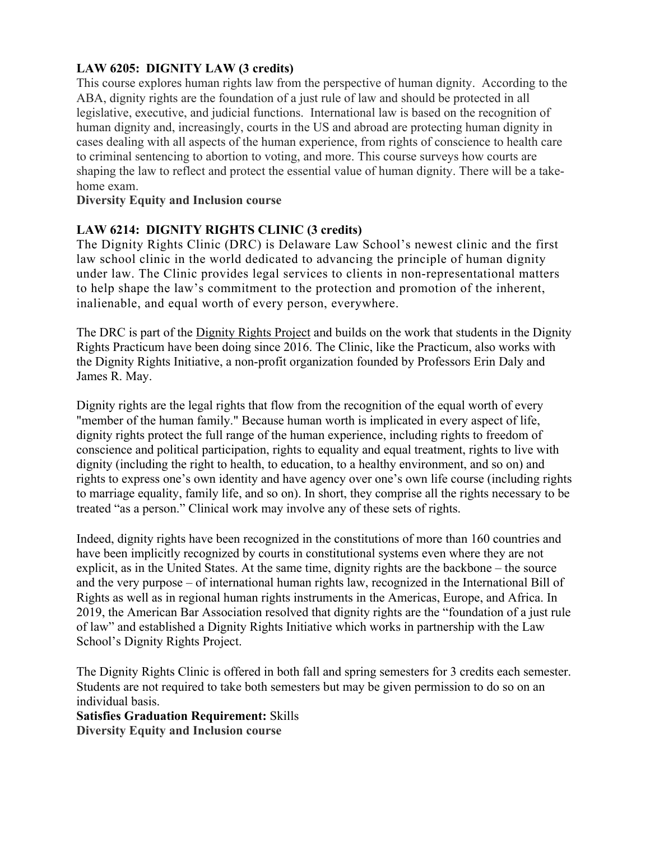# **LAW 6205: DIGNITY LAW (3 credits)**

This course explores human rights law from the perspective of human dignity. According to the ABA, dignity rights are the foundation of a just rule of law and should be protected in all legislative, executive, and judicial functions. International law is based on the recognition of human dignity and, increasingly, courts in the US and abroad are protecting human dignity in cases dealing with all aspects of the human experience, from rights of conscience to health care to criminal sentencing to abortion to voting, and more. This course surveys how courts are shaping the law to reflect and protect the essential value of human dignity. There will be a takehome exam.

#### **Diversity Equity and Inclusion course**

# **LAW 6214: DIGNITY RIGHTS CLINIC (3 credits)**

The Dignity Rights Clinic (DRC) is Delaware Law School's newest clinic and the first law school clinic in the world dedicated to advancing the principle of human dignity under law. The Clinic provides legal services to clients in non-representational matters to help shape the law's commitment to the protection and promotion of the inherent, inalienable, and equal worth of every person, everywhere.

The DRC is part of the Dignity Rights Project and builds on the work that students in the Dignity Rights Practicum have been doing since 2016. The Clinic, like the Practicum, also works with the Dignity Rights Initiative, a non-profit organization founded by Professors Erin Daly and James R. May.

Dignity rights are the legal rights that flow from the recognition of the equal worth of every "member of the human family." Because human worth is implicated in every aspect of life, dignity rights protect the full range of the human experience, including rights to freedom of conscience and political participation, rights to equality and equal treatment, rights to live with dignity (including the right to health, to education, to a healthy environment, and so on) and rights to express one's own identity and have agency over one's own life course (including rights to marriage equality, family life, and so on). In short, they comprise all the rights necessary to be treated "as a person." Clinical work may involve any of these sets of rights.

Indeed, dignity rights have been recognized in the constitutions of more than 160 countries and have been implicitly recognized by courts in constitutional systems even where they are not explicit, as in the United States. At the same time, dignity rights are the backbone – the source and the very purpose – of international human rights law, recognized in the International Bill of Rights as well as in regional human rights instruments in the Americas, Europe, and Africa. In 2019, the American Bar Association resolved that dignity rights are the "foundation of a just rule of law" and established a Dignity Rights Initiative which works in partnership with the Law School's Dignity Rights Project.

The Dignity Rights Clinic is offered in both fall and spring semesters for 3 credits each semester. Students are not required to take both semesters but may be given permission to do so on an individual basis.

**Satisfies Graduation Requirement:** Skills

**Diversity Equity and Inclusion course**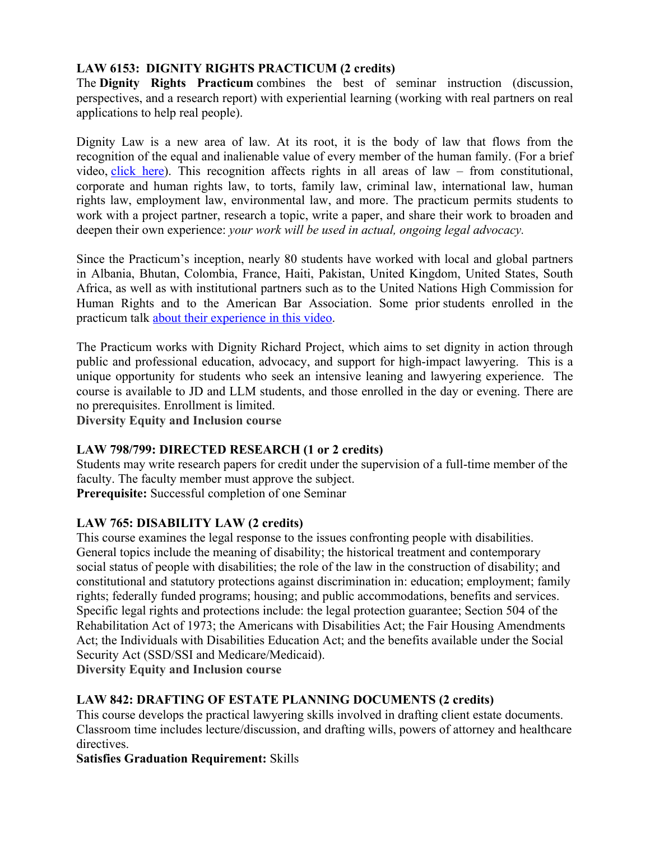# **LAW 6153: DIGNITY RIGHTS PRACTICUM (2 credits)**

The **Dignity Rights Practicum** combines the best of seminar instruction (discussion, perspectives, and a research report) with experiential learning (working with real partners on real applications to help real people).

Dignity Law is a new area of law. At its root, it is the body of law that flows from the recognition of the equal and inalienable value of every member of the human family. (For a brief video, click here). This recognition affects rights in all areas of law – from constitutional, corporate and human rights law, to torts, family law, criminal law, international law, human rights law, employment law, environmental law, and more. The practicum permits students to work with a project partner, research a topic, write a paper, and share their work to broaden and deepen their own experience: *your work will be used in actual, ongoing legal advocacy.*

Since the Practicum's inception, nearly 80 students have worked with local and global partners in Albania, Bhutan, Colombia, France, Haiti, Pakistan, United Kingdom, United States, South Africa, as well as with institutional partners such as to the United Nations High Commission for Human Rights and to the American Bar Association. Some prior students enrolled in the practicum talk about their experience in this video.

The Practicum works with Dignity Richard Project, which aims to set dignity in action through public and professional education, advocacy, and support for high-impact lawyering. This is a unique opportunity for students who seek an intensive leaning and lawyering experience. The course is available to JD and LLM students, and those enrolled in the day or evening. There are no prerequisites. Enrollment is limited.

**Diversity Equity and Inclusion course**

# **LAW 798/799: DIRECTED RESEARCH (1 or 2 credits)**

Students may write research papers for credit under the supervision of a full-time member of the faculty. The faculty member must approve the subject. **Prerequisite:** Successful completion of one Seminar

# **LAW 765: DISABILITY LAW (2 credits)**

This course examines the legal response to the issues confronting people with disabilities. General topics include the meaning of disability; the historical treatment and contemporary social status of people with disabilities; the role of the law in the construction of disability; and constitutional and statutory protections against discrimination in: education; employment; family rights; federally funded programs; housing; and public accommodations, benefits and services. Specific legal rights and protections include: the legal protection guarantee; Section 504 of the Rehabilitation Act of 1973; the Americans with Disabilities Act; the Fair Housing Amendments Act; the Individuals with Disabilities Education Act; and the benefits available under the Social Security Act (SSD/SSI and Medicare/Medicaid).

**Diversity Equity and Inclusion course**

# **LAW 842: DRAFTING OF ESTATE PLANNING DOCUMENTS (2 credits)**

This course develops the practical lawyering skills involved in drafting client estate documents. Classroom time includes lecture/discussion, and drafting wills, powers of attorney and healthcare directives.

# **Satisfies Graduation Requirement:** Skills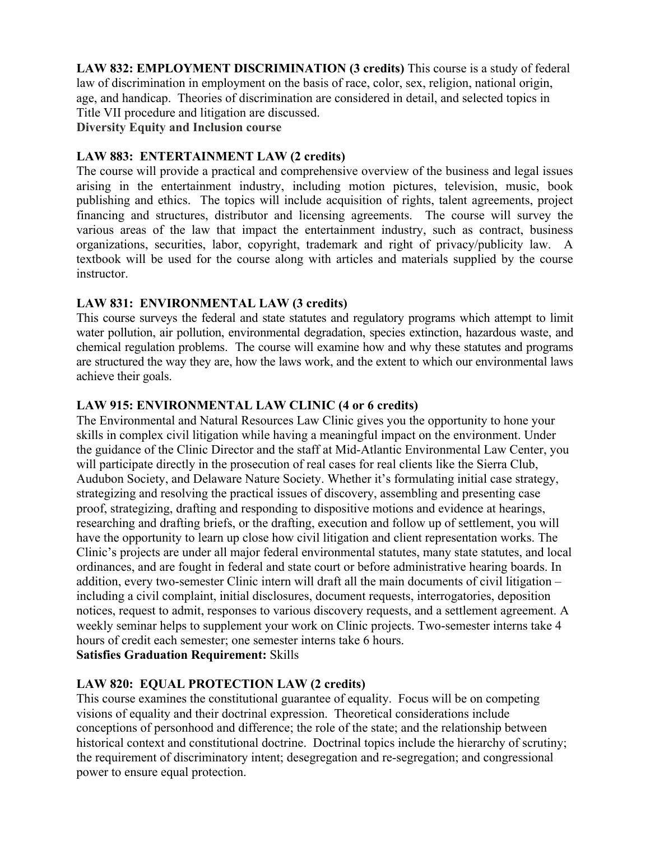**LAW 832: EMPLOYMENT DISCRIMINATION (3 credits)** This course is a study of federal law of discrimination in employment on the basis of race, color, sex, religion, national origin, age, and handicap. Theories of discrimination are considered in detail, and selected topics in Title VII procedure and litigation are discussed. **Diversity Equity and Inclusion course**

#### **LAW 883: ENTERTAINMENT LAW (2 credits)**

The course will provide a practical and comprehensive overview of the business and legal issues arising in the entertainment industry, including motion pictures, television, music, book publishing and ethics. The topics will include acquisition of rights, talent agreements, project financing and structures, distributor and licensing agreements. The course will survey the various areas of the law that impact the entertainment industry, such as contract, business organizations, securities, labor, copyright, trademark and right of privacy/publicity law. A textbook will be used for the course along with articles and materials supplied by the course instructor.

#### **LAW 831: ENVIRONMENTAL LAW (3 credits)**

This course surveys the federal and state statutes and regulatory programs which attempt to limit water pollution, air pollution, environmental degradation, species extinction, hazardous waste, and chemical regulation problems. The course will examine how and why these statutes and programs are structured the way they are, how the laws work, and the extent to which our environmental laws achieve their goals.

#### **LAW 915: ENVIRONMENTAL LAW CLINIC (4 or 6 credits)**

The Environmental and Natural Resources Law Clinic gives you the opportunity to hone your skills in complex civil litigation while having a meaningful impact on the environment. Under the guidance of the Clinic Director and the staff at Mid-Atlantic Environmental Law Center, you will participate directly in the prosecution of real cases for real clients like the Sierra Club, Audubon Society, and Delaware Nature Society. Whether it's formulating initial case strategy, strategizing and resolving the practical issues of discovery, assembling and presenting case proof, strategizing, drafting and responding to dispositive motions and evidence at hearings, researching and drafting briefs, or the drafting, execution and follow up of settlement, you will have the opportunity to learn up close how civil litigation and client representation works. The Clinic's projects are under all major federal environmental statutes, many state statutes, and local ordinances, and are fought in federal and state court or before administrative hearing boards. In addition, every two-semester Clinic intern will draft all the main documents of civil litigation – including a civil complaint, initial disclosures, document requests, interrogatories, deposition notices, request to admit, responses to various discovery requests, and a settlement agreement. A weekly seminar helps to supplement your work on Clinic projects. Two-semester interns take 4 hours of credit each semester; one semester interns take 6 hours.

# **Satisfies Graduation Requirement:** Skills

# **LAW 820: EQUAL PROTECTION LAW (2 credits)**

This course examines the constitutional guarantee of equality. Focus will be on competing visions of equality and their doctrinal expression. Theoretical considerations include conceptions of personhood and difference; the role of the state; and the relationship between historical context and constitutional doctrine. Doctrinal topics include the hierarchy of scrutiny; the requirement of discriminatory intent; desegregation and re-segregation; and congressional power to ensure equal protection.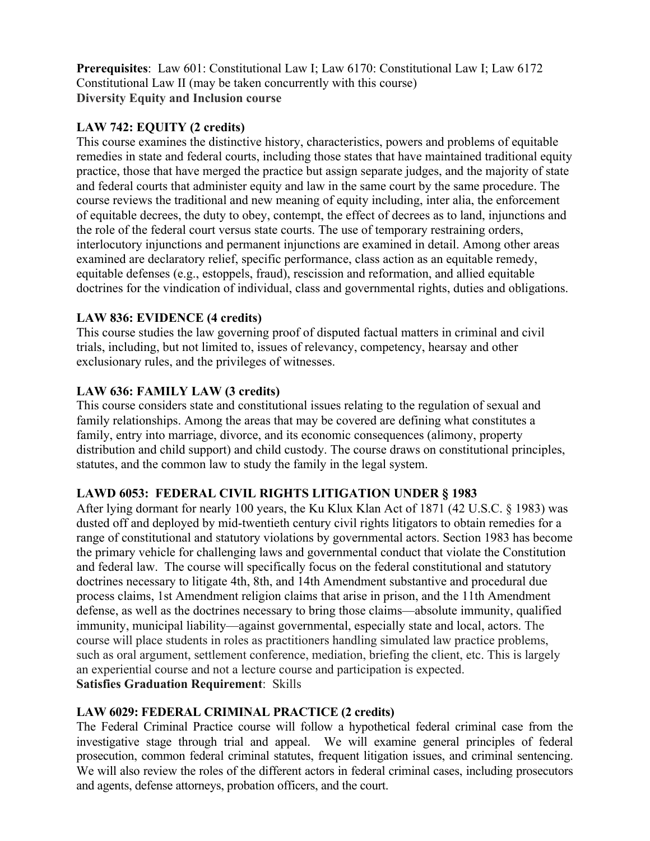**Prerequisites**: Law 601: Constitutional Law I; Law 6170: Constitutional Law I; Law 6172 Constitutional Law II (may be taken concurrently with this course) **Diversity Equity and Inclusion course**

#### **LAW 742: EQUITY (2 credits)**

This course examines the distinctive history, characteristics, powers and problems of equitable remedies in state and federal courts, including those states that have maintained traditional equity practice, those that have merged the practice but assign separate judges, and the majority of state and federal courts that administer equity and law in the same court by the same procedure. The course reviews the traditional and new meaning of equity including, inter alia, the enforcement of equitable decrees, the duty to obey, contempt, the effect of decrees as to land, injunctions and the role of the federal court versus state courts. The use of temporary restraining orders, interlocutory injunctions and permanent injunctions are examined in detail. Among other areas examined are declaratory relief, specific performance, class action as an equitable remedy, equitable defenses (e.g., estoppels, fraud), rescission and reformation, and allied equitable doctrines for the vindication of individual, class and governmental rights, duties and obligations.

# **LAW 836: EVIDENCE (4 credits)**

This course studies the law governing proof of disputed factual matters in criminal and civil trials, including, but not limited to, issues of relevancy, competency, hearsay and other exclusionary rules, and the privileges of witnesses.

# **LAW 636: FAMILY LAW (3 credits)**

This course considers state and constitutional issues relating to the regulation of sexual and family relationships. Among the areas that may be covered are defining what constitutes a family, entry into marriage, divorce, and its economic consequences (alimony, property distribution and child support) and child custody. The course draws on constitutional principles, statutes, and the common law to study the family in the legal system.

# **LAWD 6053: FEDERAL CIVIL RIGHTS LITIGATION UNDER § 1983**

After lying dormant for nearly 100 years, the Ku Klux Klan Act of 1871 (42 U.S.C. § 1983) was dusted off and deployed by mid-twentieth century civil rights litigators to obtain remedies for a range of constitutional and statutory violations by governmental actors. Section 1983 has become the primary vehicle for challenging laws and governmental conduct that violate the Constitution and federal law. The course will specifically focus on the federal constitutional and statutory doctrines necessary to litigate 4th, 8th, and 14th Amendment substantive and procedural due process claims, 1st Amendment religion claims that arise in prison, and the 11th Amendment defense, as well as the doctrines necessary to bring those claims—absolute immunity, qualified immunity, municipal liability—against governmental, especially state and local, actors. The course will place students in roles as practitioners handling simulated law practice problems, such as oral argument, settlement conference, mediation, briefing the client, etc. This is largely an experiential course and not a lecture course and participation is expected. **Satisfies Graduation Requirement**: Skills

# **LAW 6029: FEDERAL CRIMINAL PRACTICE (2 credits)**

The Federal Criminal Practice course will follow a hypothetical federal criminal case from the investigative stage through trial and appeal. We will examine general principles of federal prosecution, common federal criminal statutes, frequent litigation issues, and criminal sentencing. We will also review the roles of the different actors in federal criminal cases, including prosecutors and agents, defense attorneys, probation officers, and the court.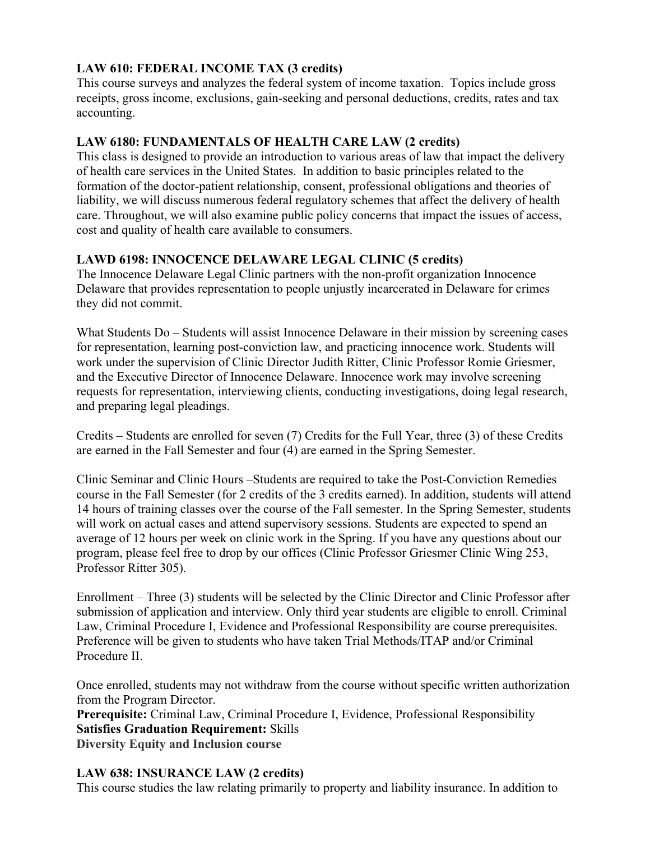# **LAW 610: FEDERAL INCOME TAX (3 credits)**

This course surveys and analyzes the federal system of income taxation. Topics include gross receipts, gross income, exclusions, gain-seeking and personal deductions, credits, rates and tax accounting.

# **LAW 6180: FUNDAMENTALS OF HEALTH CARE LAW (2 credits)**

This class is designed to provide an introduction to various areas of law that impact the delivery of health care services in the United States. In addition to basic principles related to the formation of the doctor-patient relationship, consent, professional obligations and theories of liability, we will discuss numerous federal regulatory schemes that affect the delivery of health care. Throughout, we will also examine public policy concerns that impact the issues of access, cost and quality of health care available to consumers.

# **LAWD 6198: INNOCENCE DELAWARE LEGAL CLINIC (5 credits)**

The Innocence Delaware Legal Clinic partners with the non-profit organization Innocence Delaware that provides representation to people unjustly incarcerated in Delaware for crimes they did not commit.

What Students Do – Students will assist Innocence Delaware in their mission by screening cases for representation, learning post-conviction law, and practicing innocence work. Students will work under the supervision of Clinic Director Judith Ritter, Clinic Professor Romie Griesmer, and the Executive Director of Innocence Delaware. Innocence work may involve screening requests for representation, interviewing clients, conducting investigations, doing legal research, and preparing legal pleadings.

Credits – Students are enrolled for seven (7) Credits for the Full Year, three (3) of these Credits are earned in the Fall Semester and four (4) are earned in the Spring Semester.

Clinic Seminar and Clinic Hours –Students are required to take the Post-Conviction Remedies course in the Fall Semester (for 2 credits of the 3 credits earned). In addition, students will attend 14 hours of training classes over the course of the Fall semester. In the Spring Semester, students will work on actual cases and attend supervisory sessions. Students are expected to spend an average of 12 hours per week on clinic work in the Spring. If you have any questions about our program, please feel free to drop by our offices (Clinic Professor Griesmer Clinic Wing 253, Professor Ritter 305).

Enrollment – Three (3) students will be selected by the Clinic Director and Clinic Professor after submission of application and interview. Only third year students are eligible to enroll. Criminal Law, Criminal Procedure I, Evidence and Professional Responsibility are course prerequisites. Preference will be given to students who have taken Trial Methods/ITAP and/or Criminal Procedure II.

Once enrolled, students may not withdraw from the course without specific written authorization from the Program Director.

**Prerequisite:** Criminal Law, Criminal Procedure I, Evidence, Professional Responsibility **Satisfies Graduation Requirement:** Skills **Diversity Equity and Inclusion course**

# **LAW 638: INSURANCE LAW (2 credits)**

This course studies the law relating primarily to property and liability insurance. In addition to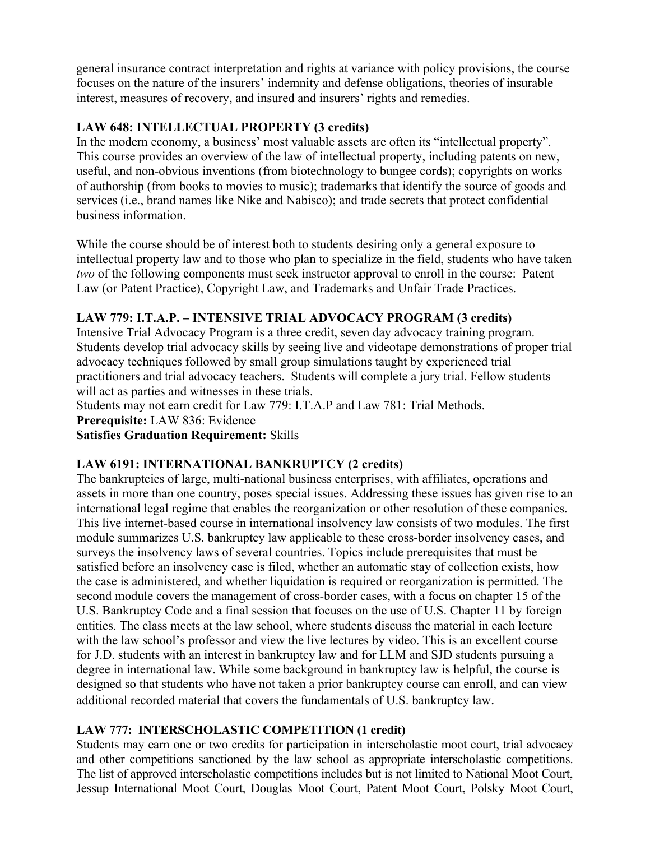general insurance contract interpretation and rights at variance with policy provisions, the course focuses on the nature of the insurers' indemnity and defense obligations, theories of insurable interest, measures of recovery, and insured and insurers' rights and remedies.

# **LAW 648: INTELLECTUAL PROPERTY (3 credits)**

In the modern economy, a business' most valuable assets are often its "intellectual property". This course provides an overview of the law of intellectual property, including patents on new, useful, and non-obvious inventions (from biotechnology to bungee cords); copyrights on works of authorship (from books to movies to music); trademarks that identify the source of goods and services (i.e., brand names like Nike and Nabisco); and trade secrets that protect confidential business information.

While the course should be of interest both to students desiring only a general exposure to intellectual property law and to those who plan to specialize in the field, students who have taken *two* of the following components must seek instructor approval to enroll in the course: Patent Law (or Patent Practice), Copyright Law, and Trademarks and Unfair Trade Practices.

# **LAW 779: I.T.A.P. – INTENSIVE TRIAL ADVOCACY PROGRAM (3 credits)**

Intensive Trial Advocacy Program is a three credit, seven day advocacy training program. Students develop trial advocacy skills by seeing live and videotape demonstrations of proper trial advocacy techniques followed by small group simulations taught by experienced trial practitioners and trial advocacy teachers. Students will complete a jury trial. Fellow students will act as parties and witnesses in these trials.

Students may not earn credit for Law 779: I.T.A.P and Law 781: Trial Methods.

**Prerequisite:** LAW 836: Evidence

**Satisfies Graduation Requirement:** Skills

# **LAW 6191: INTERNATIONAL BANKRUPTCY (2 credits)**

The bankruptcies of large, multi-national business enterprises, with affiliates, operations and assets in more than one country, poses special issues. Addressing these issues has given rise to an international legal regime that enables the reorganization or other resolution of these companies. This live internet-based course in international insolvency law consists of two modules. The first module summarizes U.S. bankruptcy law applicable to these cross-border insolvency cases, and surveys the insolvency laws of several countries. Topics include prerequisites that must be satisfied before an insolvency case is filed, whether an automatic stay of collection exists, how the case is administered, and whether liquidation is required or reorganization is permitted. The second module covers the management of cross-border cases, with a focus on chapter 15 of the U.S. Bankruptcy Code and a final session that focuses on the use of U.S. Chapter 11 by foreign entities. The class meets at the law school, where students discuss the material in each lecture with the law school's professor and view the live lectures by video. This is an excellent course for J.D. students with an interest in bankruptcy law and for LLM and SJD students pursuing a degree in international law. While some background in bankruptcy law is helpful, the course is designed so that students who have not taken a prior bankruptcy course can enroll, and can view additional recorded material that covers the fundamentals of U.S. bankruptcy law.

# **LAW 777: INTERSCHOLASTIC COMPETITION (1 credit)**

Students may earn one or two credits for participation in interscholastic moot court, trial advocacy and other competitions sanctioned by the law school as appropriate interscholastic competitions. The list of approved interscholastic competitions includes but is not limited to National Moot Court, Jessup International Moot Court, Douglas Moot Court, Patent Moot Court, Polsky Moot Court,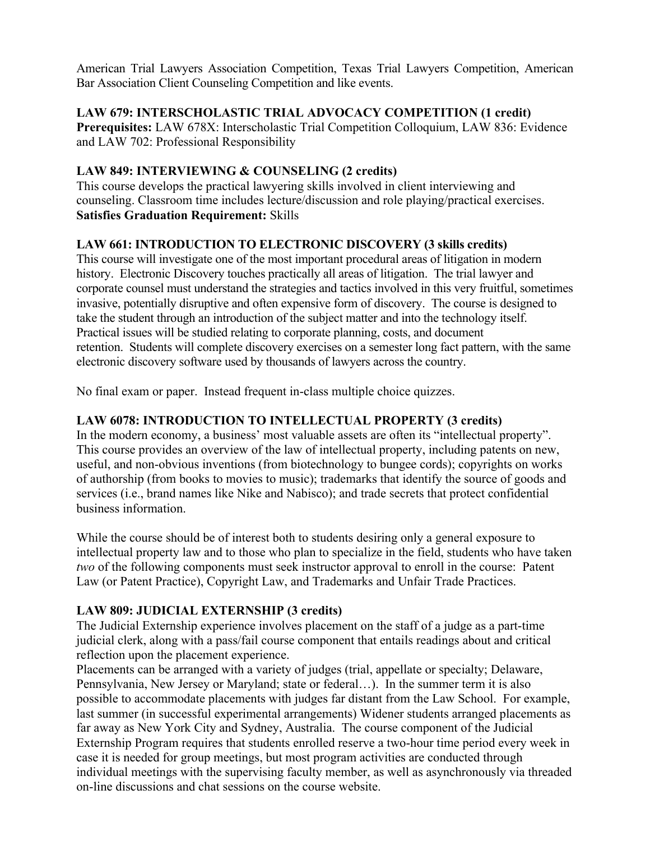American Trial Lawyers Association Competition, Texas Trial Lawyers Competition, American Bar Association Client Counseling Competition and like events.

#### **LAW 679: INTERSCHOLASTIC TRIAL ADVOCACY COMPETITION (1 credit)**

**Prerequisites:** LAW 678X: Interscholastic Trial Competition Colloquium, LAW 836: Evidence and LAW 702: Professional Responsibility

# **LAW 849: INTERVIEWING & COUNSELING (2 credits)**

This course develops the practical lawyering skills involved in client interviewing and counseling. Classroom time includes lecture/discussion and role playing/practical exercises. **Satisfies Graduation Requirement:** Skills

# **LAW 661: INTRODUCTION TO ELECTRONIC DISCOVERY (3 skills credits)**

This course will investigate one of the most important procedural areas of litigation in modern history. Electronic Discovery touches practically all areas of litigation. The trial lawyer and corporate counsel must understand the strategies and tactics involved in this very fruitful, sometimes invasive, potentially disruptive and often expensive form of discovery. The course is designed to take the student through an introduction of the subject matter and into the technology itself. Practical issues will be studied relating to corporate planning, costs, and document retention. Students will complete discovery exercises on a semester long fact pattern, with the same electronic discovery software used by thousands of lawyers across the country.

No final exam or paper. Instead frequent in-class multiple choice quizzes.

# **LAW 6078: INTRODUCTION TO INTELLECTUAL PROPERTY (3 credits)**

In the modern economy, a business' most valuable assets are often its "intellectual property". This course provides an overview of the law of intellectual property, including patents on new, useful, and non-obvious inventions (from biotechnology to bungee cords); copyrights on works of authorship (from books to movies to music); trademarks that identify the source of goods and services (i.e., brand names like Nike and Nabisco); and trade secrets that protect confidential business information.

While the course should be of interest both to students desiring only a general exposure to intellectual property law and to those who plan to specialize in the field, students who have taken *two* of the following components must seek instructor approval to enroll in the course: Patent Law (or Patent Practice), Copyright Law, and Trademarks and Unfair Trade Practices.

# **LAW 809: JUDICIAL EXTERNSHIP (3 credits)**

The Judicial Externship experience involves placement on the staff of a judge as a part-time judicial clerk, along with a pass/fail course component that entails readings about and critical reflection upon the placement experience.

Placements can be arranged with a variety of judges (trial, appellate or specialty; Delaware, Pennsylvania, New Jersey or Maryland; state or federal…). In the summer term it is also possible to accommodate placements with judges far distant from the Law School. For example, last summer (in successful experimental arrangements) Widener students arranged placements as far away as New York City and Sydney, Australia. The course component of the Judicial Externship Program requires that students enrolled reserve a two-hour time period every week in case it is needed for group meetings, but most program activities are conducted through individual meetings with the supervising faculty member, as well as asynchronously via threaded on-line discussions and chat sessions on the course website.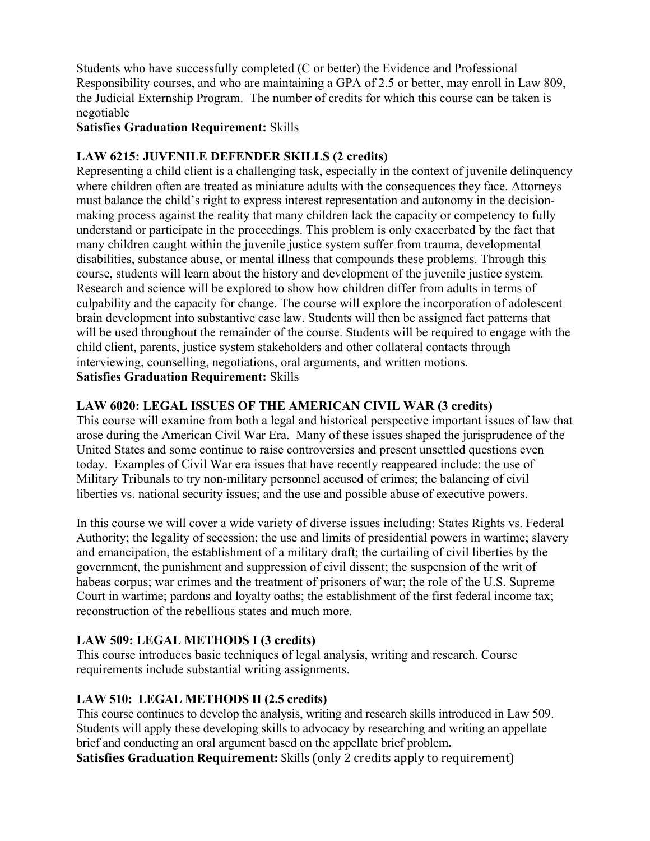Students who have successfully completed (C or better) the Evidence and Professional Responsibility courses, and who are maintaining a GPA of 2.5 or better, may enroll in Law 809, the Judicial Externship Program. The number of credits for which this course can be taken is negotiable

# **Satisfies Graduation Requirement:** Skills

#### **LAW 6215: JUVENILE DEFENDER SKILLS (2 credits)**

Representing a child client is a challenging task, especially in the context of juvenile delinquency where children often are treated as miniature adults with the consequences they face. Attorneys must balance the child's right to express interest representation and autonomy in the decisionmaking process against the reality that many children lack the capacity or competency to fully understand or participate in the proceedings. This problem is only exacerbated by the fact that many children caught within the juvenile justice system suffer from trauma, developmental disabilities, substance abuse, or mental illness that compounds these problems. Through this course, students will learn about the history and development of the juvenile justice system. Research and science will be explored to show how children differ from adults in terms of culpability and the capacity for change. The course will explore the incorporation of adolescent brain development into substantive case law. Students will then be assigned fact patterns that will be used throughout the remainder of the course. Students will be required to engage with the child client, parents, justice system stakeholders and other collateral contacts through interviewing, counselling, negotiations, oral arguments, and written motions. **Satisfies Graduation Requirement:** Skills

# **LAW 6020: LEGAL ISSUES OF THE AMERICAN CIVIL WAR (3 credits)**

This course will examine from both a legal and historical perspective important issues of law that arose during the American Civil War Era. Many of these issues shaped the jurisprudence of the United States and some continue to raise controversies and present unsettled questions even today. Examples of Civil War era issues that have recently reappeared include: the use of Military Tribunals to try non-military personnel accused of crimes; the balancing of civil liberties vs. national security issues; and the use and possible abuse of executive powers.

In this course we will cover a wide variety of diverse issues including: States Rights vs. Federal Authority; the legality of secession; the use and limits of presidential powers in wartime; slavery and emancipation, the establishment of a military draft; the curtailing of civil liberties by the government, the punishment and suppression of civil dissent; the suspension of the writ of habeas corpus; war crimes and the treatment of prisoners of war; the role of the U.S. Supreme Court in wartime; pardons and loyalty oaths; the establishment of the first federal income tax; reconstruction of the rebellious states and much more.

# **LAW 509: LEGAL METHODS I (3 credits)**

This course introduces basic techniques of legal analysis, writing and research. Course requirements include substantial writing assignments.

# **LAW 510: LEGAL METHODS II (2.5 credits)**

This course continues to develop the analysis, writing and research skills introduced in Law 509. Students will apply these developing skills to advocacy by researching and writing an appellate brief and conducting an oral argument based on the appellate brief problem**.**

**Satisfies Graduation Requirement:** Skills (only 2 credits apply to requirement)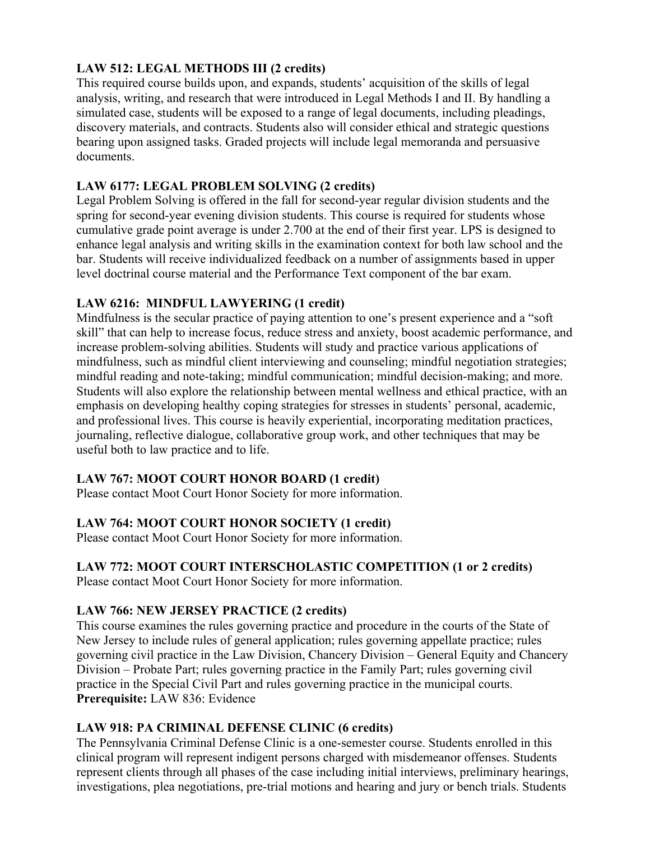# **LAW 512: LEGAL METHODS III (2 credits)**

This required course builds upon, and expands, students' acquisition of the skills of legal analysis, writing, and research that were introduced in Legal Methods I and II. By handling a simulated case, students will be exposed to a range of legal documents, including pleadings, discovery materials, and contracts. Students also will consider ethical and strategic questions bearing upon assigned tasks. Graded projects will include legal memoranda and persuasive documents.

# **LAW 6177: LEGAL PROBLEM SOLVING (2 credits)**

Legal Problem Solving is offered in the fall for second-year regular division students and the spring for second-year evening division students. This course is required for students whose cumulative grade point average is under 2.700 at the end of their first year. LPS is designed to enhance legal analysis and writing skills in the examination context for both law school and the bar. Students will receive individualized feedback on a number of assignments based in upper level doctrinal course material and the Performance Text component of the bar exam.

# **LAW 6216: MINDFUL LAWYERING (1 credit)**

Mindfulness is the secular practice of paying attention to one's present experience and a "soft skill" that can help to increase focus, reduce stress and anxiety, boost academic performance, and increase problem-solving abilities. Students will study and practice various applications of mindfulness, such as mindful client interviewing and counseling; mindful negotiation strategies; mindful reading and note-taking; mindful communication; mindful decision-making; and more. Students will also explore the relationship between mental wellness and ethical practice, with an emphasis on developing healthy coping strategies for stresses in students' personal, academic, and professional lives. This course is heavily experiential, incorporating meditation practices, journaling, reflective dialogue, collaborative group work, and other techniques that may be useful both to law practice and to life.

# **LAW 767: MOOT COURT HONOR BOARD (1 credit)**

Please contact Moot Court Honor Society for more information.

# **LAW 764: MOOT COURT HONOR SOCIETY (1 credit)**

Please contact Moot Court Honor Society for more information.

# **LAW 772: MOOT COURT INTERSCHOLASTIC COMPETITION (1 or 2 credits)**

Please contact Moot Court Honor Society for more information.

# **LAW 766: NEW JERSEY PRACTICE (2 credits)**

This course examines the rules governing practice and procedure in the courts of the State of New Jersey to include rules of general application; rules governing appellate practice; rules governing civil practice in the Law Division, Chancery Division – General Equity and Chancery Division – Probate Part; rules governing practice in the Family Part; rules governing civil practice in the Special Civil Part and rules governing practice in the municipal courts. **Prerequisite:** LAW 836: Evidence

# **LAW 918: PA CRIMINAL DEFENSE CLINIC (6 credits)**

The Pennsylvania Criminal Defense Clinic is a one-semester course. Students enrolled in this clinical program will represent indigent persons charged with misdemeanor offenses. Students represent clients through all phases of the case including initial interviews, preliminary hearings, investigations, plea negotiations, pre-trial motions and hearing and jury or bench trials. Students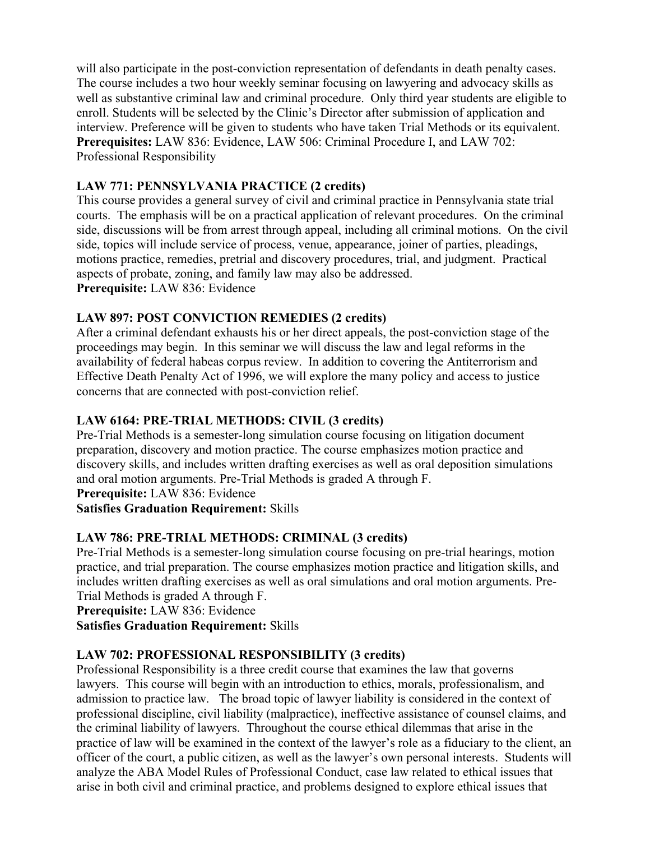will also participate in the post-conviction representation of defendants in death penalty cases. The course includes a two hour weekly seminar focusing on lawyering and advocacy skills as well as substantive criminal law and criminal procedure. Only third year students are eligible to enroll. Students will be selected by the Clinic's Director after submission of application and interview. Preference will be given to students who have taken Trial Methods or its equivalent. **Prerequisites:** LAW 836: Evidence, LAW 506: Criminal Procedure I, and LAW 702: Professional Responsibility

# **LAW 771: PENNSYLVANIA PRACTICE (2 credits)**

This course provides a general survey of civil and criminal practice in Pennsylvania state trial courts. The emphasis will be on a practical application of relevant procedures. On the criminal side, discussions will be from arrest through appeal, including all criminal motions. On the civil side, topics will include service of process, venue, appearance, joiner of parties, pleadings, motions practice, remedies, pretrial and discovery procedures, trial, and judgment. Practical aspects of probate, zoning, and family law may also be addressed. **Prerequisite:** LAW 836: Evidence

# **LAW 897: POST CONVICTION REMEDIES (2 credits)**

After a criminal defendant exhausts his or her direct appeals, the post-conviction stage of the proceedings may begin. In this seminar we will discuss the law and legal reforms in the availability of federal habeas corpus review. In addition to covering the Antiterrorism and Effective Death Penalty Act of 1996, we will explore the many policy and access to justice concerns that are connected with post-conviction relief.

# **LAW 6164: PRE-TRIAL METHODS: CIVIL (3 credits)**

Pre-Trial Methods is a semester-long simulation course focusing on litigation document preparation, discovery and motion practice. The course emphasizes motion practice and discovery skills, and includes written drafting exercises as well as oral deposition simulations and oral motion arguments. Pre-Trial Methods is graded A through F. **Prerequisite:** LAW 836: Evidence

**Satisfies Graduation Requirement:** Skills

# **LAW 786: PRE-TRIAL METHODS: CRIMINAL (3 credits)**

Pre-Trial Methods is a semester-long simulation course focusing on pre-trial hearings, motion practice, and trial preparation. The course emphasizes motion practice and litigation skills, and includes written drafting exercises as well as oral simulations and oral motion arguments. Pre-Trial Methods is graded A through F.

**Prerequisite:** LAW 836: Evidence

**Satisfies Graduation Requirement:** Skills

# **LAW 702: PROFESSIONAL RESPONSIBILITY (3 credits)**

Professional Responsibility is a three credit course that examines the law that governs lawyers. This course will begin with an introduction to ethics, morals, professionalism, and admission to practice law. The broad topic of lawyer liability is considered in the context of professional discipline, civil liability (malpractice), ineffective assistance of counsel claims, and the criminal liability of lawyers. Throughout the course ethical dilemmas that arise in the practice of law will be examined in the context of the lawyer's role as a fiduciary to the client, an officer of the court, a public citizen, as well as the lawyer's own personal interests. Students will analyze the ABA Model Rules of Professional Conduct, case law related to ethical issues that arise in both civil and criminal practice, and problems designed to explore ethical issues that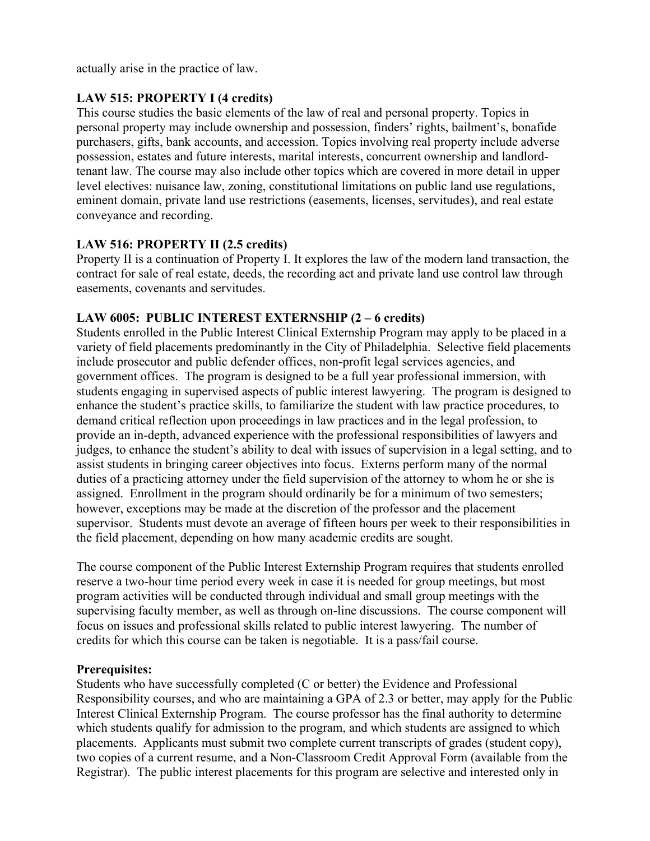actually arise in the practice of law.

#### **LAW 515: PROPERTY I (4 credits)**

This course studies the basic elements of the law of real and personal property. Topics in personal property may include ownership and possession, finders' rights, bailment's, bonafide purchasers, gifts, bank accounts, and accession. Topics involving real property include adverse possession, estates and future interests, marital interests, concurrent ownership and landlordtenant law. The course may also include other topics which are covered in more detail in upper level electives: nuisance law, zoning, constitutional limitations on public land use regulations, eminent domain, private land use restrictions (easements, licenses, servitudes), and real estate conveyance and recording.

#### **LAW 516: PROPERTY II (2.5 credits)**

Property II is a continuation of Property I. It explores the law of the modern land transaction, the contract for sale of real estate, deeds, the recording act and private land use control law through easements, covenants and servitudes.

#### **LAW 6005: PUBLIC INTEREST EXTERNSHIP (2 – 6 credits)**

Students enrolled in the Public Interest Clinical Externship Program may apply to be placed in a variety of field placements predominantly in the City of Philadelphia. Selective field placements include prosecutor and public defender offices, non-profit legal services agencies, and government offices. The program is designed to be a full year professional immersion, with students engaging in supervised aspects of public interest lawyering. The program is designed to enhance the student's practice skills, to familiarize the student with law practice procedures, to demand critical reflection upon proceedings in law practices and in the legal profession, to provide an in-depth, advanced experience with the professional responsibilities of lawyers and judges, to enhance the student's ability to deal with issues of supervision in a legal setting, and to assist students in bringing career objectives into focus. Externs perform many of the normal duties of a practicing attorney under the field supervision of the attorney to whom he or she is assigned. Enrollment in the program should ordinarily be for a minimum of two semesters; however, exceptions may be made at the discretion of the professor and the placement supervisor. Students must devote an average of fifteen hours per week to their responsibilities in the field placement, depending on how many academic credits are sought.

The course component of the Public Interest Externship Program requires that students enrolled reserve a two-hour time period every week in case it is needed for group meetings, but most program activities will be conducted through individual and small group meetings with the supervising faculty member, as well as through on-line discussions. The course component will focus on issues and professional skills related to public interest lawyering. The number of credits for which this course can be taken is negotiable. It is a pass/fail course.

#### **Prerequisites:**

Students who have successfully completed (C or better) the Evidence and Professional Responsibility courses, and who are maintaining a GPA of 2.3 or better, may apply for the Public Interest Clinical Externship Program. The course professor has the final authority to determine which students qualify for admission to the program, and which students are assigned to which placements. Applicants must submit two complete current transcripts of grades (student copy), two copies of a current resume, and a Non-Classroom Credit Approval Form (available from the Registrar). The public interest placements for this program are selective and interested only in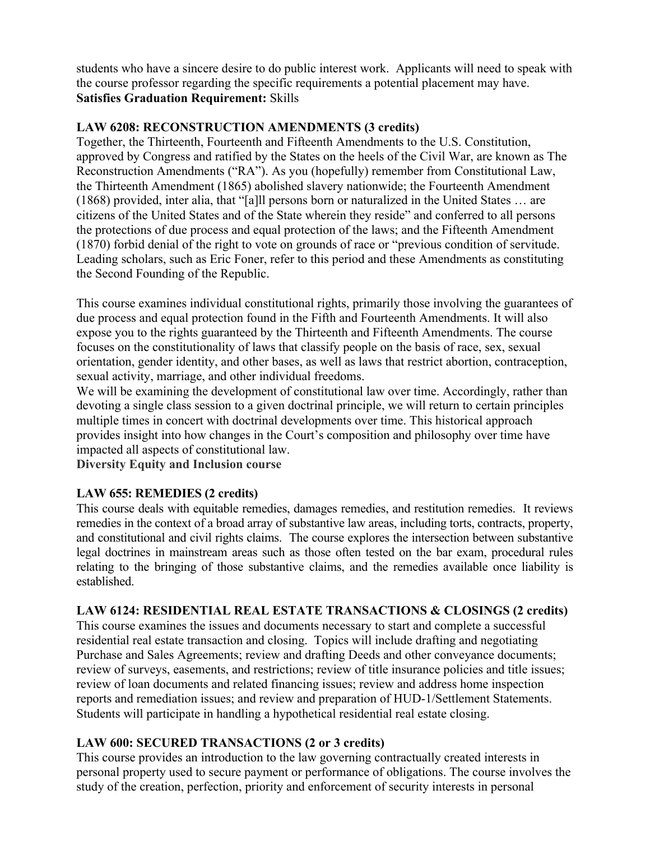students who have a sincere desire to do public interest work. Applicants will need to speak with the course professor regarding the specific requirements a potential placement may have. **Satisfies Graduation Requirement:** Skills

# **LAW 6208: RECONSTRUCTION AMENDMENTS (3 credits)**

Together, the Thirteenth, Fourteenth and Fifteenth Amendments to the U.S. Constitution, approved by Congress and ratified by the States on the heels of the Civil War, are known as The Reconstruction Amendments ("RA"). As you (hopefully) remember from Constitutional Law, the Thirteenth Amendment (1865) abolished slavery nationwide; the Fourteenth Amendment (1868) provided, inter alia, that "[a]ll persons born or naturalized in the United States … are citizens of the United States and of the State wherein they reside" and conferred to all persons the protections of due process and equal protection of the laws; and the Fifteenth Amendment (1870) forbid denial of the right to vote on grounds of race or "previous condition of servitude. Leading scholars, such as Eric Foner, refer to this period and these Amendments as constituting the Second Founding of the Republic.

This course examines individual constitutional rights, primarily those involving the guarantees of due process and equal protection found in the Fifth and Fourteenth Amendments. It will also expose you to the rights guaranteed by the Thirteenth and Fifteenth Amendments. The course focuses on the constitutionality of laws that classify people on the basis of race, sex, sexual orientation, gender identity, and other bases, as well as laws that restrict abortion, contraception, sexual activity, marriage, and other individual freedoms.

We will be examining the development of constitutional law over time. Accordingly, rather than devoting a single class session to a given doctrinal principle, we will return to certain principles multiple times in concert with doctrinal developments over time. This historical approach provides insight into how changes in the Court's composition and philosophy over time have impacted all aspects of constitutional law.

**Diversity Equity and Inclusion course**

# **LAW 655: REMEDIES (2 credits)**

This course deals with equitable remedies, damages remedies, and restitution remedies. It reviews remedies in the context of a broad array of substantive law areas, including torts, contracts, property, and constitutional and civil rights claims. The course explores the intersection between substantive legal doctrines in mainstream areas such as those often tested on the bar exam, procedural rules relating to the bringing of those substantive claims, and the remedies available once liability is established.

# **LAW 6124: RESIDENTIAL REAL ESTATE TRANSACTIONS & CLOSINGS (2 credits)**

This course examines the issues and documents necessary to start and complete a successful residential real estate transaction and closing. Topics will include drafting and negotiating Purchase and Sales Agreements; review and drafting Deeds and other conveyance documents; review of surveys, easements, and restrictions; review of title insurance policies and title issues; review of loan documents and related financing issues; review and address home inspection reports and remediation issues; and review and preparation of HUD-1/Settlement Statements. Students will participate in handling a hypothetical residential real estate closing.

# **LAW 600: SECURED TRANSACTIONS (2 or 3 credits)**

This course provides an introduction to the law governing contractually created interests in personal property used to secure payment or performance of obligations. The course involves the study of the creation, perfection, priority and enforcement of security interests in personal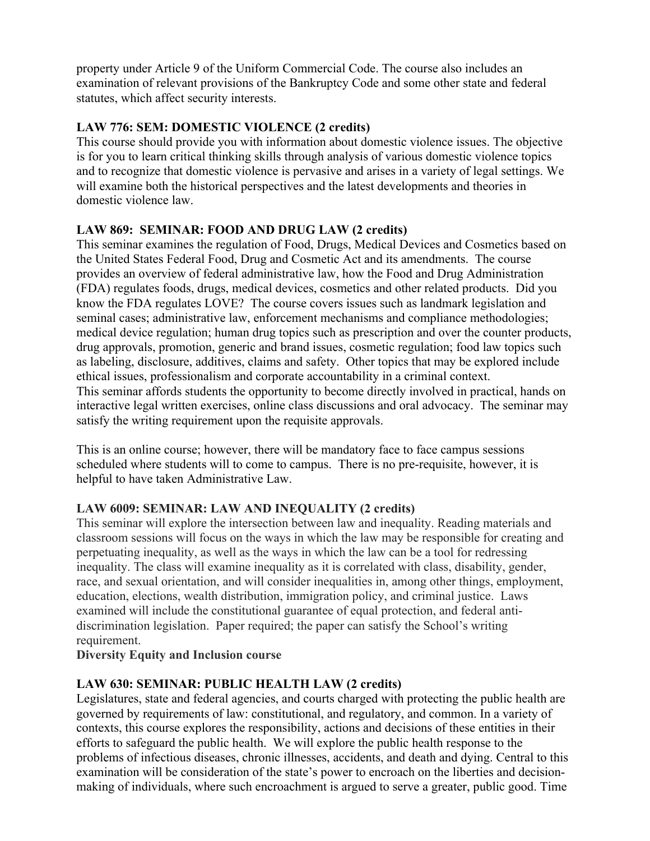property under Article 9 of the Uniform Commercial Code. The course also includes an examination of relevant provisions of the Bankruptcy Code and some other state and federal statutes, which affect security interests.

# **LAW 776: SEM: DOMESTIC VIOLENCE (2 credits)**

This course should provide you with information about domestic violence issues. The objective is for you to learn critical thinking skills through analysis of various domestic violence topics and to recognize that domestic violence is pervasive and arises in a variety of legal settings. We will examine both the historical perspectives and the latest developments and theories in domestic violence law.

# **LAW 869: SEMINAR: FOOD AND DRUG LAW (2 credits)**

This seminar examines the regulation of Food, Drugs, Medical Devices and Cosmetics based on the United States Federal Food, Drug and Cosmetic Act and its amendments. The course provides an overview of federal administrative law, how the Food and Drug Administration (FDA) regulates foods, drugs, medical devices, cosmetics and other related products. Did you know the FDA regulates LOVE? The course covers issues such as landmark legislation and seminal cases; administrative law, enforcement mechanisms and compliance methodologies; medical device regulation; human drug topics such as prescription and over the counter products, drug approvals, promotion, generic and brand issues, cosmetic regulation; food law topics such as labeling, disclosure, additives, claims and safety. Other topics that may be explored include ethical issues, professionalism and corporate accountability in a criminal context. This seminar affords students the opportunity to become directly involved in practical, hands on interactive legal written exercises, online class discussions and oral advocacy. The seminar may satisfy the writing requirement upon the requisite approvals.

This is an online course; however, there will be mandatory face to face campus sessions scheduled where students will to come to campus. There is no pre-requisite, however, it is helpful to have taken Administrative Law.

# **LAW 6009: SEMINAR: LAW AND INEQUALITY (2 credits)**

This seminar will explore the intersection between law and inequality. Reading materials and classroom sessions will focus on the ways in which the law may be responsible for creating and perpetuating inequality, as well as the ways in which the law can be a tool for redressing inequality. The class will examine inequality as it is correlated with class, disability, gender, race, and sexual orientation, and will consider inequalities in, among other things, employment, education, elections, wealth distribution, immigration policy, and criminal justice. Laws examined will include the constitutional guarantee of equal protection, and federal antidiscrimination legislation. Paper required; the paper can satisfy the School's writing requirement.

# **Diversity Equity and Inclusion course**

# **LAW 630: SEMINAR: PUBLIC HEALTH LAW (2 credits)**

Legislatures, state and federal agencies, and courts charged with protecting the public health are governed by requirements of law: constitutional, and regulatory, and common. In a variety of contexts, this course explores the responsibility, actions and decisions of these entities in their efforts to safeguard the public health. We will explore the public health response to the problems of infectious diseases, chronic illnesses, accidents, and death and dying. Central to this examination will be consideration of the state's power to encroach on the liberties and decisionmaking of individuals, where such encroachment is argued to serve a greater, public good. Time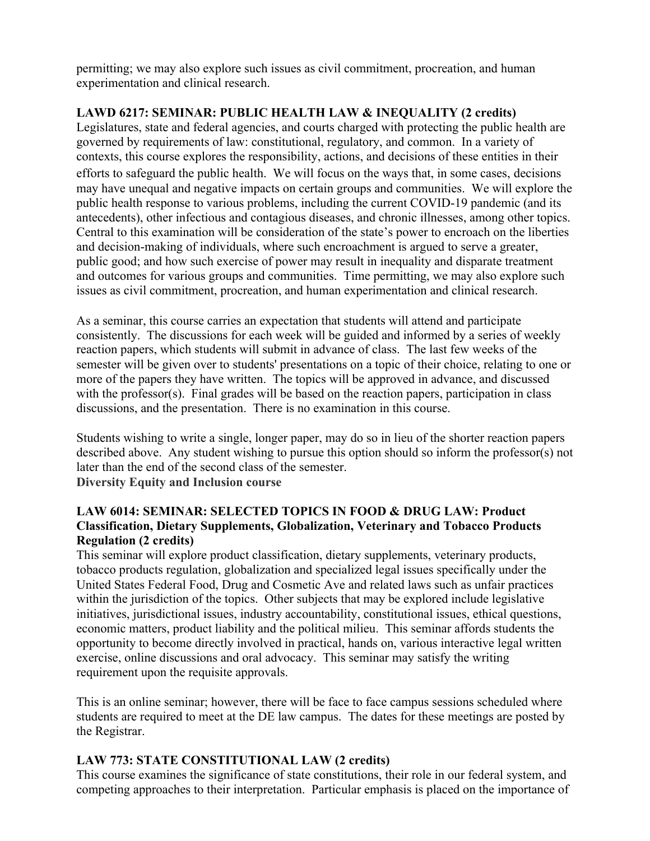permitting; we may also explore such issues as civil commitment, procreation, and human experimentation and clinical research.

# **LAWD 6217: SEMINAR: PUBLIC HEALTH LAW & INEQUALITY (2 credits)**

Legislatures, state and federal agencies, and courts charged with protecting the public health are governed by requirements of law: constitutional, regulatory, and common. In a variety of contexts, this course explores the responsibility, actions, and decisions of these entities in their efforts to safeguard the public health. We will focus on the ways that, in some cases, decisions may have unequal and negative impacts on certain groups and communities. We will explore the public health response to various problems, including the current COVID-19 pandemic (and its antecedents), other infectious and contagious diseases, and chronic illnesses, among other topics. Central to this examination will be consideration of the state's power to encroach on the liberties and decision-making of individuals, where such encroachment is argued to serve a greater, public good; and how such exercise of power may result in inequality and disparate treatment and outcomes for various groups and communities. Time permitting, we may also explore such issues as civil commitment, procreation, and human experimentation and clinical research.

As a seminar, this course carries an expectation that students will attend and participate consistently. The discussions for each week will be guided and informed by a series of weekly reaction papers, which students will submit in advance of class. The last few weeks of the semester will be given over to students' presentations on a topic of their choice, relating to one or more of the papers they have written. The topics will be approved in advance, and discussed with the professor(s). Final grades will be based on the reaction papers, participation in class discussions, and the presentation. There is no examination in this course.

Students wishing to write a single, longer paper, may do so in lieu of the shorter reaction papers described above. Any student wishing to pursue this option should so inform the professor(s) not later than the end of the second class of the semester. **Diversity Equity and Inclusion course**

#### **LAW 6014: SEMINAR: SELECTED TOPICS IN FOOD & DRUG LAW: Product Classification, Dietary Supplements, Globalization, Veterinary and Tobacco Products Regulation (2 credits)**

This seminar will explore product classification, dietary supplements, veterinary products, tobacco products regulation, globalization and specialized legal issues specifically under the United States Federal Food, Drug and Cosmetic Ave and related laws such as unfair practices within the jurisdiction of the topics. Other subjects that may be explored include legislative initiatives, jurisdictional issues, industry accountability, constitutional issues, ethical questions, economic matters, product liability and the political milieu. This seminar affords students the opportunity to become directly involved in practical, hands on, various interactive legal written exercise, online discussions and oral advocacy. This seminar may satisfy the writing requirement upon the requisite approvals.

This is an online seminar; however, there will be face to face campus sessions scheduled where students are required to meet at the DE law campus. The dates for these meetings are posted by the Registrar.

# **LAW 773: STATE CONSTITUTIONAL LAW (2 credits)**

This course examines the significance of state constitutions, their role in our federal system, and competing approaches to their interpretation. Particular emphasis is placed on the importance of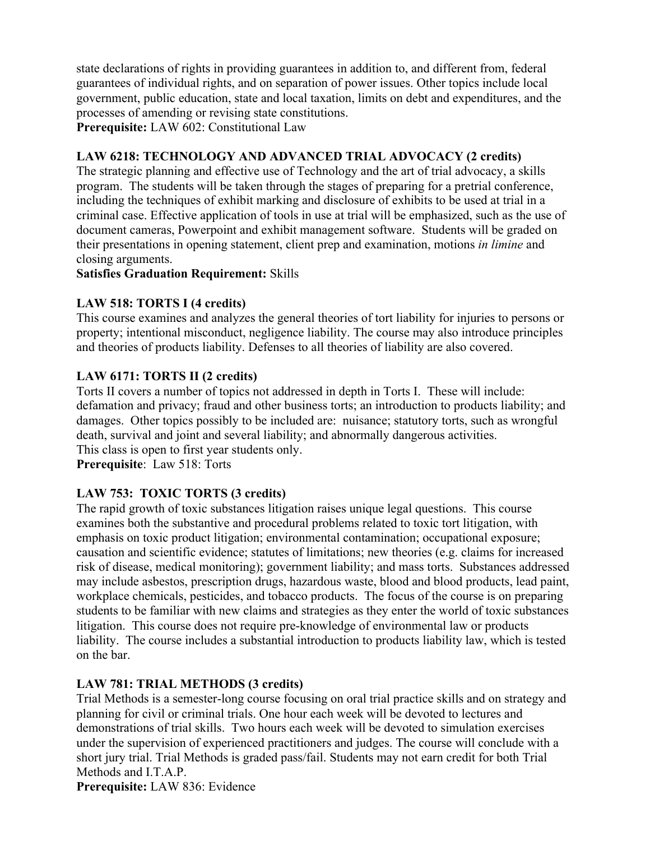state declarations of rights in providing guarantees in addition to, and different from, federal guarantees of individual rights, and on separation of power issues. Other topics include local government, public education, state and local taxation, limits on debt and expenditures, and the processes of amending or revising state constitutions.

**Prerequisite:** LAW 602: Constitutional Law

# **LAW 6218: TECHNOLOGY AND ADVANCED TRIAL ADVOCACY (2 credits)**

The strategic planning and effective use of Technology and the art of trial advocacy, a skills program. The students will be taken through the stages of preparing for a pretrial conference, including the techniques of exhibit marking and disclosure of exhibits to be used at trial in a criminal case. Effective application of tools in use at trial will be emphasized, such as the use of document cameras, Powerpoint and exhibit management software. Students will be graded on their presentations in opening statement, client prep and examination, motions *in limine* and closing arguments.

#### **Satisfies Graduation Requirement:** Skills

# **LAW 518: TORTS I (4 credits)**

This course examines and analyzes the general theories of tort liability for injuries to persons or property; intentional misconduct, negligence liability. The course may also introduce principles and theories of products liability. Defenses to all theories of liability are also covered.

# **LAW 6171: TORTS II (2 credits)**

Torts II covers a number of topics not addressed in depth in Torts I. These will include: defamation and privacy; fraud and other business torts; an introduction to products liability; and damages. Other topics possibly to be included are: nuisance; statutory torts, such as wrongful death, survival and joint and several liability; and abnormally dangerous activities. This class is open to first year students only.

**Prerequisite**: Law 518: Torts

# **LAW 753: TOXIC TORTS (3 credits)**

The rapid growth of toxic substances litigation raises unique legal questions. This course examines both the substantive and procedural problems related to toxic tort litigation, with emphasis on toxic product litigation; environmental contamination; occupational exposure; causation and scientific evidence; statutes of limitations; new theories (e.g. claims for increased risk of disease, medical monitoring); government liability; and mass torts. Substances addressed may include asbestos, prescription drugs, hazardous waste, blood and blood products, lead paint, workplace chemicals, pesticides, and tobacco products. The focus of the course is on preparing students to be familiar with new claims and strategies as they enter the world of toxic substances litigation. This course does not require pre-knowledge of environmental law or products liability. The course includes a substantial introduction to products liability law, which is tested on the bar.

# **LAW 781: TRIAL METHODS (3 credits)**

Trial Methods is a semester-long course focusing on oral trial practice skills and on strategy and planning for civil or criminal trials. One hour each week will be devoted to lectures and demonstrations of trial skills. Two hours each week will be devoted to simulation exercises under the supervision of experienced practitioners and judges. The course will conclude with a short jury trial. Trial Methods is graded pass/fail. Students may not earn credit for both Trial Methods and I.T.A.P.

**Prerequisite:** LAW 836: Evidence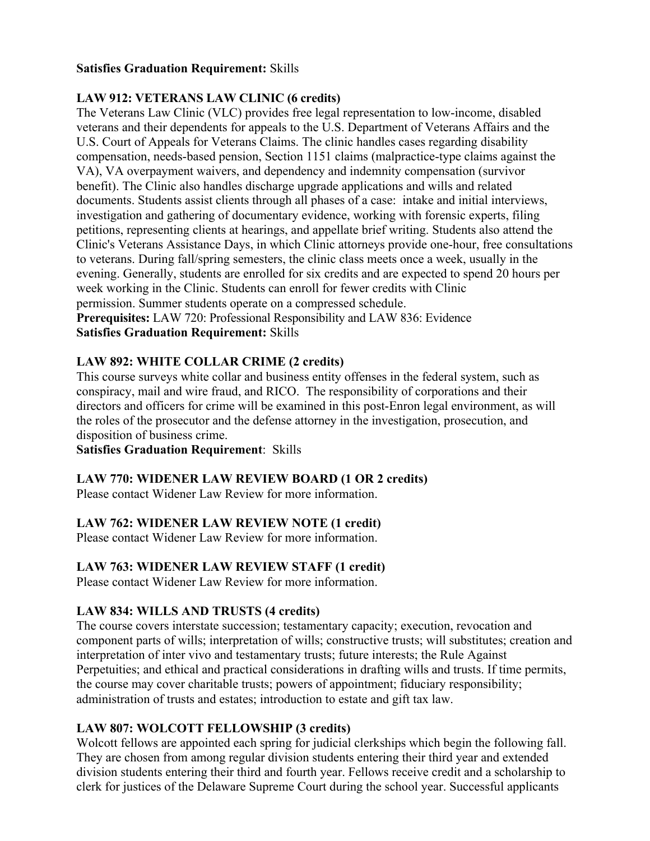#### **Satisfies Graduation Requirement:** Skills

# **LAW 912: VETERANS LAW CLINIC (6 credits)**

The Veterans Law Clinic (VLC) provides free legal representation to low-income, disabled veterans and their dependents for appeals to the U.S. Department of Veterans Affairs and the U.S. Court of Appeals for Veterans Claims. The clinic handles cases regarding disability compensation, needs-based pension, Section 1151 claims (malpractice-type claims against the VA), VA overpayment waivers, and dependency and indemnity compensation (survivor benefit). The Clinic also handles discharge upgrade applications and wills and related documents. Students assist clients through all phases of a case: intake and initial interviews, investigation and gathering of documentary evidence, working with forensic experts, filing petitions, representing clients at hearings, and appellate brief writing. Students also attend the Clinic's Veterans Assistance Days, in which Clinic attorneys provide one-hour, free consultations to veterans. During fall/spring semesters, the clinic class meets once a week, usually in the evening. Generally, students are enrolled for six credits and are expected to spend 20 hours per week working in the Clinic. Students can enroll for fewer credits with Clinic permission. Summer students operate on a compressed schedule. **Prerequisites:** LAW 720: Professional Responsibility and LAW 836: Evidence

#### **Satisfies Graduation Requirement:** Skills

# **LAW 892: WHITE COLLAR CRIME (2 credits)**

This course surveys white collar and business entity offenses in the federal system, such as conspiracy, mail and wire fraud, and RICO. The responsibility of corporations and their directors and officers for crime will be examined in this post-Enron legal environment, as will the roles of the prosecutor and the defense attorney in the investigation, prosecution, and disposition of business crime.

# **Satisfies Graduation Requirement**: Skills

# **LAW 770: WIDENER LAW REVIEW BOARD (1 OR 2 credits)**

Please contact Widener Law Review for more information.

# **LAW 762: WIDENER LAW REVIEW NOTE (1 credit)**

Please contact Widener Law Review for more information.

# **LAW 763: WIDENER LAW REVIEW STAFF (1 credit)**

Please contact Widener Law Review for more information.

# **LAW 834: WILLS AND TRUSTS (4 credits)**

The course covers interstate succession; testamentary capacity; execution, revocation and component parts of wills; interpretation of wills; constructive trusts; will substitutes; creation and interpretation of inter vivo and testamentary trusts; future interests; the Rule Against Perpetuities; and ethical and practical considerations in drafting wills and trusts. If time permits, the course may cover charitable trusts; powers of appointment; fiduciary responsibility; administration of trusts and estates; introduction to estate and gift tax law.

# **LAW 807: WOLCOTT FELLOWSHIP (3 credits)**

Wolcott fellows are appointed each spring for judicial clerkships which begin the following fall. They are chosen from among regular division students entering their third year and extended division students entering their third and fourth year. Fellows receive credit and a scholarship to clerk for justices of the Delaware Supreme Court during the school year. Successful applicants